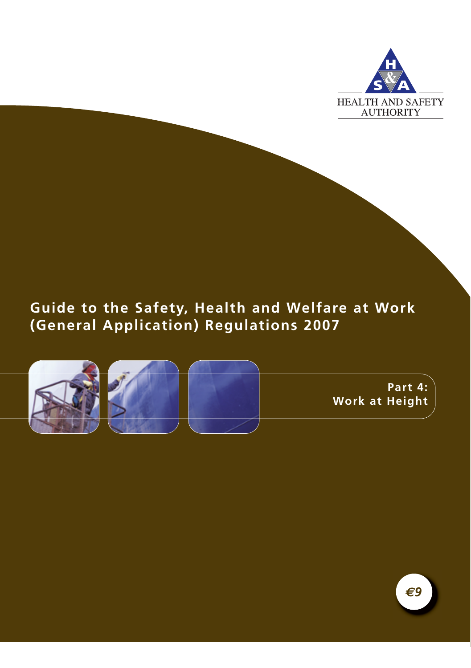

# **Guide to the Safety, Health and Welfare at Work (General Application) Regulations 2007**



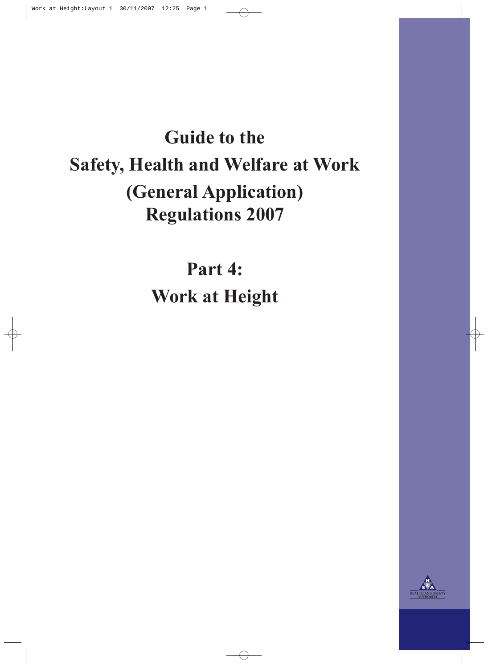# **Guide to the Safety, Health and Welfare at Work (General Application) Regulations 2007**

**Part 4: Work at Height**

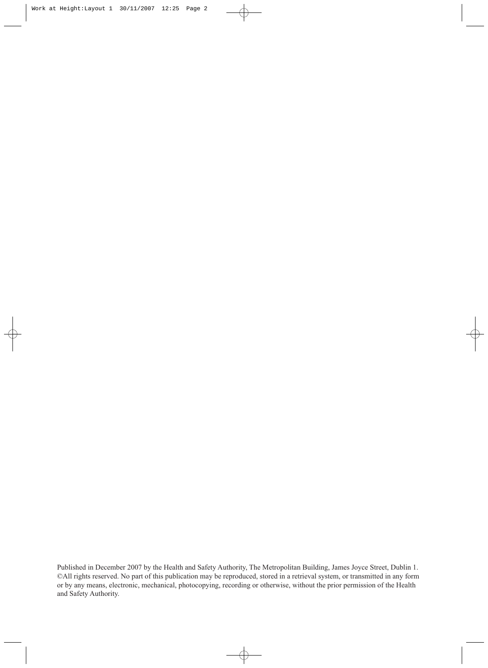Published in December 2007 by the Health and Safety Authority, The Metropolitan Building, James Joyce Street, Dublin 1. ©All rights reserved. No part of this publication may be reproduced, stored in a retrieval system, or transmitted in any form or by any means, electronic, mechanical, photocopying, recording or otherwise, without the prior permission of the Health and Safety Authority.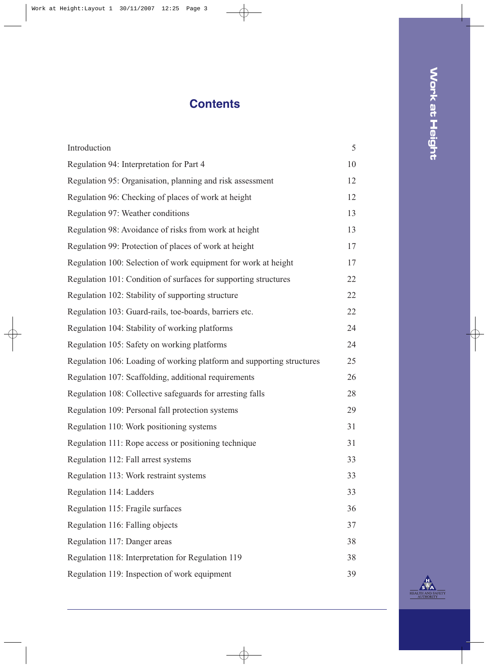# **Contents**

| Introduction                                                          | 5  |
|-----------------------------------------------------------------------|----|
| Regulation 94: Interpretation for Part 4                              | 10 |
| Regulation 95: Organisation, planning and risk assessment             | 12 |
| Regulation 96: Checking of places of work at height                   | 12 |
| Regulation 97: Weather conditions                                     | 13 |
| Regulation 98: Avoidance of risks from work at height                 | 13 |
| Regulation 99: Protection of places of work at height                 | 17 |
| Regulation 100: Selection of work equipment for work at height        | 17 |
| Regulation 101: Condition of surfaces for supporting structures       | 22 |
| Regulation 102: Stability of supporting structure                     | 22 |
| Regulation 103: Guard-rails, toe-boards, barriers etc.                | 22 |
| Regulation 104: Stability of working platforms                        | 24 |
| Regulation 105: Safety on working platforms                           | 24 |
| Regulation 106: Loading of working platform and supporting structures | 25 |
| Regulation 107: Scaffolding, additional requirements                  | 26 |
| Regulation 108: Collective safeguards for arresting falls             | 28 |
| Regulation 109: Personal fall protection systems                      | 29 |
| Regulation 110: Work positioning systems                              | 31 |
| Regulation 111: Rope access or positioning technique                  | 31 |
| Regulation 112: Fall arrest systems                                   | 33 |
| Regulation 113: Work restraint systems                                | 33 |
| Regulation 114: Ladders                                               | 33 |
| Regulation 115: Fragile surfaces                                      | 36 |
| Regulation 116: Falling objects                                       | 37 |
| Regulation 117: Danger areas                                          | 38 |
| Regulation 118: Interpretation for Regulation 119                     | 38 |
| Regulation 119: Inspection of work equipment                          | 39 |

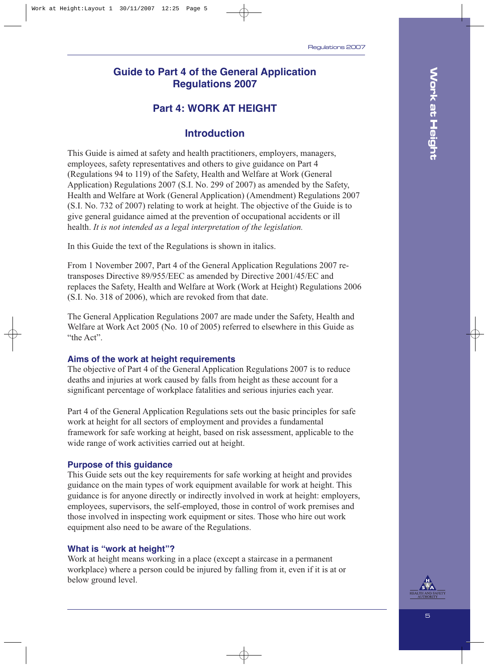## **Guide to Part 4 of the General Application Regulations 2007**

## **Part 4: WORK AT HEIGHT**

## **Introduction**

This Guide is aimed at safety and health practitioners, employers, managers, employees, safety representatives and others to give guidance on Part 4 (Regulations 94 to 119) of the Safety, Health and Welfare at Work (General Application) Regulations 2007 (S.I. No. 299 of 2007) as amended by the Safety, Health and Welfare at Work (General Application) (Amendment) Regulations 2007 (S.I. No. 732 of 2007) relating to work at height. The objective of the Guide is to give general guidance aimed at the prevention of occupational accidents or ill health. *It is not intended as a legal interpretation of the legislation.*

In this Guide the text of the Regulations is shown in italics.

From 1 November 2007, Part 4 of the General Application Regulations 2007 retransposes Directive 89/955/EEC as amended by Directive 2001/45/EC and replaces the Safety, Health and Welfare at Work (Work at Height) Regulations 2006 (S.I. No. 318 of 2006), which are revoked from that date.

The General Application Regulations 2007 are made under the Safety, Health and Welfare at Work Act 2005 (No. 10 of 2005) referred to elsewhere in this Guide as "the Act".

#### **Aims of the work at height requirements**

The objective of Part 4 of the General Application Regulations 2007 is to reduce deaths and injuries at work caused by falls from height as these account for a significant percentage of workplace fatalities and serious injuries each year.

Part 4 of the General Application Regulations sets out the basic principles for safe work at height for all sectors of employment and provides a fundamental framework for safe working at height, based on risk assessment, applicable to the wide range of work activities carried out at height.

#### **Purpose of this guidance**

This Guide sets out the key requirements for safe working at height and provides guidance on the main types of work equipment available for work at height. This guidance is for anyone directly or indirectly involved in work at height: employers, employees, supervisors, the self-employed, those in control of work premises and those involved in inspecting work equipment or sites. Those who hire out work equipment also need to be aware of the Regulations.

#### **What is "work at height"?**

Work at height means working in a place (except a staircase in a permanent workplace) where a person could be injured by falling from it, even if it is at or below ground level.

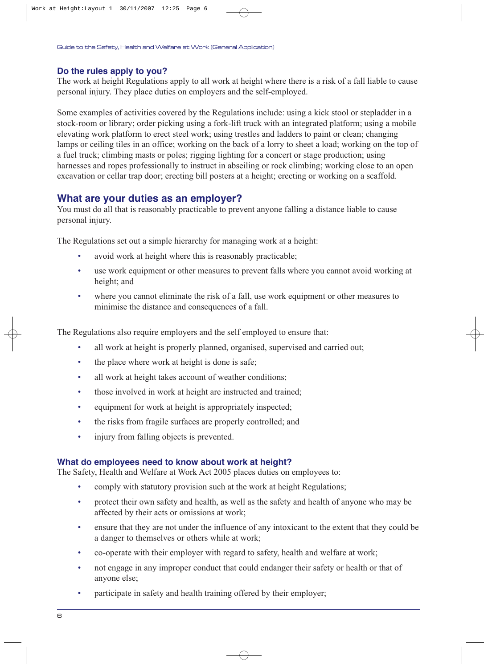#### **Do the rules apply to you?**

The work at height Regulations apply to all work at height where there is a risk of a fall liable to cause personal injury. They place duties on employers and the self-employed.

Some examples of activities covered by the Regulations include: using a kick stool or stepladder in a stock-room or library; order picking using a fork-lift truck with an integrated platform; using a mobile elevating work platform to erect steel work; using trestles and ladders to paint or clean; changing lamps or ceiling tiles in an office; working on the back of a lorry to sheet a load; working on the top of a fuel truck; climbing masts or poles; rigging lighting for a concert or stage production; using harnesses and ropes professionally to instruct in abseiling or rock climbing; working close to an open excavation or cellar trap door; erecting bill posters at a height; erecting or working on a scaffold.

#### **What are your duties as an employer?**

You must do all that is reasonably practicable to prevent anyone falling a distance liable to cause personal injury.

The Regulations set out a simple hierarchy for managing work at a height:

- avoid work at height where this is reasonably practicable;
- use work equipment or other measures to prevent falls where you cannot avoid working at height; and
- where you cannot eliminate the risk of a fall, use work equipment or other measures to minimise the distance and consequences of a fall.

The Regulations also require employers and the self employed to ensure that:

- all work at height is properly planned, organised, supervised and carried out;
- the place where work at height is done is safe;
- all work at height takes account of weather conditions;
- those involved in work at height are instructed and trained;
- equipment for work at height is appropriately inspected;
- the risks from fragile surfaces are properly controlled; and
- injury from falling objects is prevented.

#### **What do employees need to know about work at height?**

The Safety, Health and Welfare at Work Act 2005 places duties on employees to:

- comply with statutory provision such at the work at height Regulations;
- protect their own safety and health, as well as the safety and health of anyone who may be affected by their acts or omissions at work;
- ensure that they are not under the influence of any intoxicant to the extent that they could be a danger to themselves or others while at work;
- co-operate with their employer with regard to safety, health and welfare at work;
- not engage in any improper conduct that could endanger their safety or health or that of anyone else;
- participate in safety and health training offered by their employer;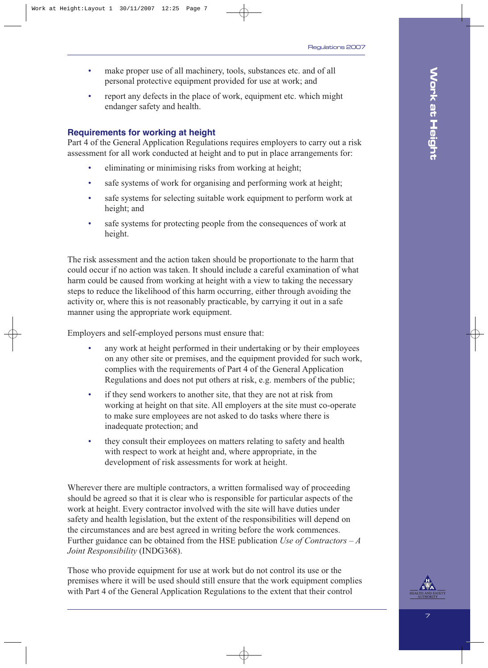- make proper use of all machinery, tools, substances etc. and of all personal protective equipment provided for use at work; and
- report any defects in the place of work, equipment etc. which might endanger safety and health.

#### **Requirements for working at height**

Part 4 of the General Application Regulations requires employers to carry out a risk assessment for all work conducted at height and to put in place arrangements for:

- eliminating or minimising risks from working at height;
- safe systems of work for organising and performing work at height;
- safe systems for selecting suitable work equipment to perform work at height; and
- safe systems for protecting people from the consequences of work at height.

The risk assessment and the action taken should be proportionate to the harm that could occur if no action was taken. It should include a careful examination of what harm could be caused from working at height with a view to taking the necessary steps to reduce the likelihood of this harm occurring, either through avoiding the activity or, where this is not reasonably practicable, by carrying it out in a safe manner using the appropriate work equipment.

Employers and self-employed persons must ensure that:

- any work at height performed in their undertaking or by their employees on any other site or premises, and the equipment provided for such work, complies with the requirements of Part 4 of the General Application Regulations and does not put others at risk, e.g. members of the public;
- if they send workers to another site, that they are not at risk from working at height on that site. All employers at the site must co-operate to make sure employees are not asked to do tasks where there is inadequate protection; and
- they consult their employees on matters relating to safety and health with respect to work at height and, where appropriate, in the development of risk assessments for work at height.

Wherever there are multiple contractors, a written formalised way of proceeding should be agreed so that it is clear who is responsible for particular aspects of the work at height. Every contractor involved with the site will have duties under safety and health legislation, but the extent of the responsibilities will depend on the circumstances and are best agreed in writing before the work commences. Further guidance can be obtained from the HSE publication *Use of Contractors – A Joint Responsibility* (INDG368).

Those who provide equipment for use at work but do not control its use or the premises where it will be used should still ensure that the work equipment complies with Part 4 of the General Application Regulations to the extent that their control

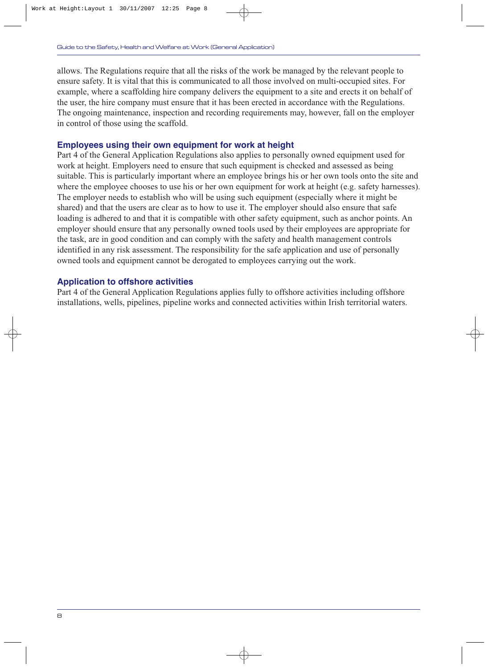allows. The Regulations require that all the risks of the work be managed by the relevant people to ensure safety. It is vital that this is communicated to all those involved on multi-occupied sites. For example, where a scaffolding hire company delivers the equipment to a site and erects it on behalf of the user, the hire company must ensure that it has been erected in accordance with the Regulations. The ongoing maintenance, inspection and recording requirements may, however, fall on the employer in control of those using the scaffold.

#### **Employees using their own equipment for work at height**

Part 4 of the General Application Regulations also applies to personally owned equipment used for work at height. Employers need to ensure that such equipment is checked and assessed as being suitable. This is particularly important where an employee brings his or her own tools onto the site and where the employee chooses to use his or her own equipment for work at height (e.g. safety harnesses). The employer needs to establish who will be using such equipment (especially where it might be shared) and that the users are clear as to how to use it. The employer should also ensure that safe loading is adhered to and that it is compatible with other safety equipment, such as anchor points. An employer should ensure that any personally owned tools used by their employees are appropriate for the task, are in good condition and can comply with the safety and health management controls identified in any risk assessment. The responsibility for the safe application and use of personally owned tools and equipment cannot be derogated to employees carrying out the work.

#### **Application to offshore activities**

Part 4 of the General Application Regulations applies fully to offshore activities including offshore installations, wells, pipelines, pipeline works and connected activities within Irish territorial waters.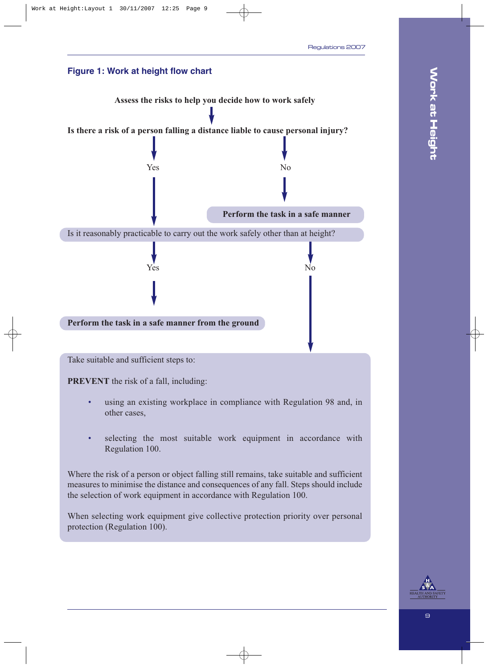

protection (Regulation 100).

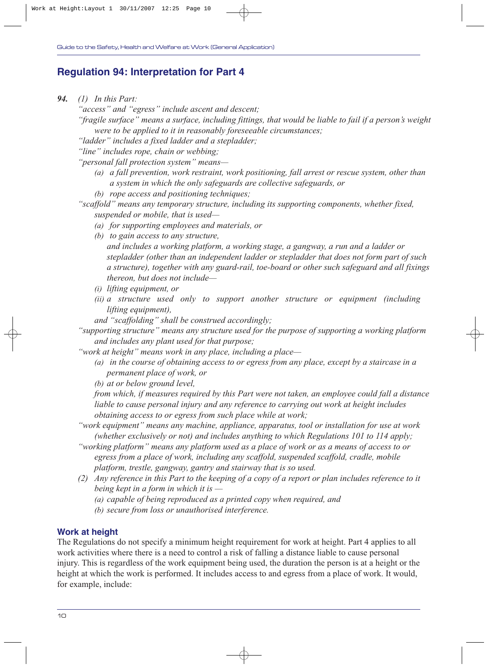## **Regulation 94: Interpretation for Part 4**

*94. (1) In this Part:*

*"access" and "egress" include ascent and descent;*

*"fragile surface" means a surface, including fittings, that would be liable to fail if a person's weight were to be applied to it in reasonably foreseeable circumstances;*

*"ladder" includes a fixed ladder and a stepladder;* 

*"line" includes rope, chain or webbing;*

*"personal fall protection system" means—*

- *(a) a fall prevention, work restraint, work positioning, fall arrest or rescue system, other than a system in which the only safeguards are collective safeguards, or*
- *(b) rope access and positioning techniques;*

*"scaffold" means any temporary structure, including its supporting components, whether fixed, suspended or mobile, that is used—*

- *(a) for supporting employees and materials, or*
- *(b) to gain access to any structure, and includes a working platform, a working stage, a gangway, a run and a ladder or stepladder (other than an independent ladder or stepladder that does not form part of such a structure), together with any guard-rail, toe-board or other such safeguard and all fixings thereon, but does not include—*
- *(i) lifting equipment, or*
- *(ii) a structure used only to support another structure or equipment (including lifting equipment),*

*and "scaffolding" shall be construed accordingly;*

*"supporting structure" means any structure used for the purpose of supporting a working platform and includes any plant used for that purpose;*

*"work at height" means work in any place, including a place—*

*(a) in the course of obtaining access to or egress from any place, except by a staircase in a permanent place of work, or*

*(b) at or below ground level,*

*from which, if measures required by this Part were not taken, an employee could fall a distance liable to cause personal injury and any reference to carrying out work at height includes obtaining access to or egress from such place while at work;*

- *"work equipment" means any machine, appliance, apparatus, tool or installation for use at work (whether exclusively or not) and includes anything to which Regulations 101 to 114 apply;*
- *"working platform" means any platform used as a place of work or as a means of access to or egress from a place of work, including any scaffold, suspended scaffold, cradle, mobile platform, trestle, gangway, gantry and stairway that is so used.*
- *(2) Any reference in this Part to the keeping of a copy of a report or plan includes reference to it being kept in a form in which it is —*
	- *(a) capable of being reproduced as a printed copy when required, and*

*(b) secure from loss or unauthorised interference.*

### **Work at height**

The Regulations do not specify a minimum height requirement for work at height. Part 4 applies to all work activities where there is a need to control a risk of falling a distance liable to cause personal injury. This is regardless of the work equipment being used, the duration the person is at a height or the height at which the work is performed. It includes access to and egress from a place of work. It would, for example, include: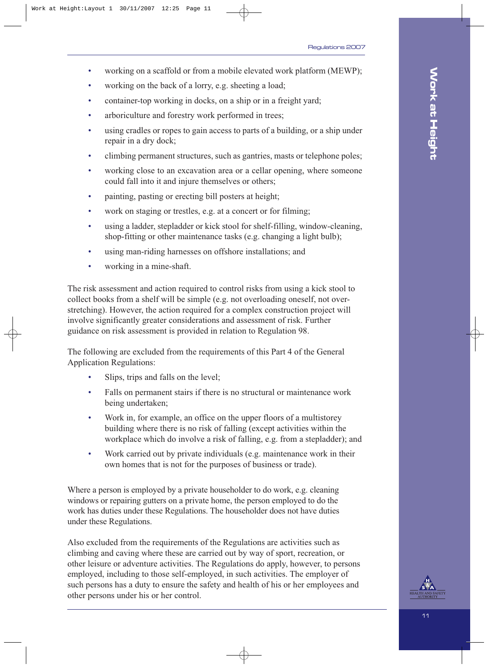- working on a scaffold or from a mobile elevated work platform (MEWP);
- working on the back of a lorry, e.g. sheeting a load;
- container-top working in docks, on a ship or in a freight yard;
- arboriculture and forestry work performed in trees;
- using cradles or ropes to gain access to parts of a building, or a ship under repair in a dry dock;
- climbing permanent structures, such as gantries, masts or telephone poles;
- working close to an excavation area or a cellar opening, where someone could fall into it and injure themselves or others;
- painting, pasting or erecting bill posters at height;
- work on staging or trestles, e.g. at a concert or for filming;
- using a ladder, stepladder or kick stool for shelf-filling, window-cleaning, shop-fitting or other maintenance tasks (e.g. changing a light bulb);
- using man-riding harnesses on offshore installations; and
- working in a mine-shaft.

The risk assessment and action required to control risks from using a kick stool to collect books from a shelf will be simple (e.g. not overloading oneself, not overstretching). However, the action required for a complex construction project will involve significantly greater considerations and assessment of risk. Further guidance on risk assessment is provided in relation to Regulation 98.

The following are excluded from the requirements of this Part 4 of the General Application Regulations:

- Slips, trips and falls on the level;
- Falls on permanent stairs if there is no structural or maintenance work being undertaken;
- Work in, for example, an office on the upper floors of a multistorey building where there is no risk of falling (except activities within the workplace which do involve a risk of falling, e.g. from a stepladder); and
- Work carried out by private individuals (e.g. maintenance work in their own homes that is not for the purposes of business or trade).

Where a person is employed by a private householder to do work, e.g. cleaning windows or repairing gutters on a private home, the person employed to do the work has duties under these Regulations. The householder does not have duties under these Regulations.

Also excluded from the requirements of the Regulations are activities such as climbing and caving where these are carried out by way of sport, recreation, or other leisure or adventure activities. The Regulations do apply, however, to persons employed, including to those self-employed, in such activities. The employer of such persons has a duty to ensure the safety and health of his or her employees and other persons under his or her control.

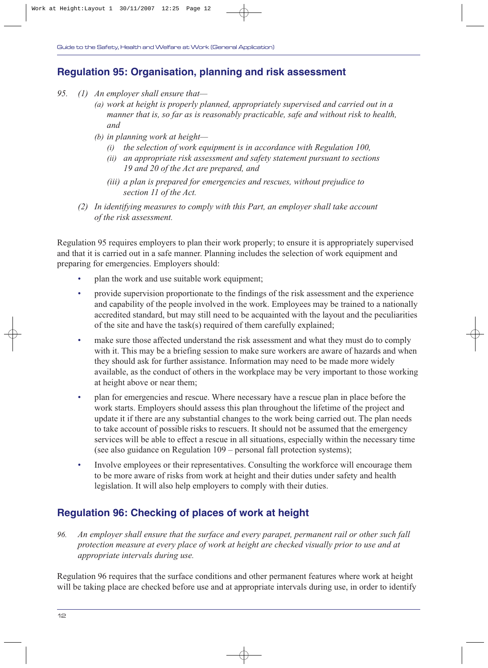## **Regulation 95: Organisation, planning and risk assessment**

- *95. (1) An employer shall ensure that—*
	- *(a) work at height is properly planned, appropriately supervised and carried out in a manner that is, so far as is reasonably practicable, safe and without risk to health, and*
	- *(b) in planning work at height—*
		- *(i) the selection of work equipment is in accordance with Regulation 100,*
		- *(ii) an appropriate risk assessment and safety statement pursuant to sections 19 and 20 of the Act are prepared, and*
		- *(iii) a plan is prepared for emergencies and rescues, without prejudice to section 11 of the Act.*
	- *(2) In identifying measures to comply with this Part, an employer shall take account of the risk assessment.*

Regulation 95 requires employers to plan their work properly; to ensure it is appropriately supervised and that it is carried out in a safe manner. Planning includes the selection of work equipment and preparing for emergencies. Employers should:

- plan the work and use suitable work equipment;
- provide supervision proportionate to the findings of the risk assessment and the experience and capability of the people involved in the work. Employees may be trained to a nationally accredited standard, but may still need to be acquainted with the layout and the peculiarities of the site and have the task(s) required of them carefully explained;
- make sure those affected understand the risk assessment and what they must do to comply with it. This may be a briefing session to make sure workers are aware of hazards and when they should ask for further assistance. Information may need to be made more widely available, as the conduct of others in the workplace may be very important to those working at height above or near them;
- plan for emergencies and rescue. Where necessary have a rescue plan in place before the work starts. Employers should assess this plan throughout the lifetime of the project and update it if there are any substantial changes to the work being carried out. The plan needs to take account of possible risks to rescuers. It should not be assumed that the emergency services will be able to effect a rescue in all situations, especially within the necessary time (see also guidance on Regulation 109 – personal fall protection systems);
- Involve employees or their representatives. Consulting the workforce will encourage them to be more aware of risks from work at height and their duties under safety and health legislation. It will also help employers to comply with their duties.

## **Regulation 96: Checking of places of work at height**

*96. An employer shall ensure that the surface and every parapet, permanent rail or other such fall protection measure at every place of work at height are checked visually prior to use and at appropriate intervals during use.*

Regulation 96 requires that the surface conditions and other permanent features where work at height will be taking place are checked before use and at appropriate intervals during use, in order to identify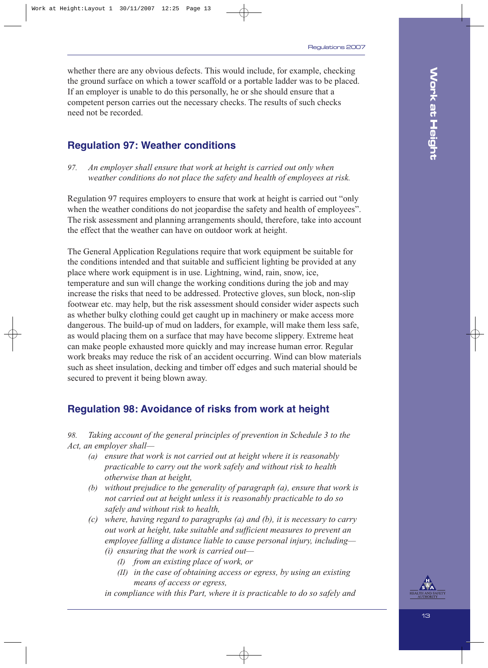whether there are any obvious defects. This would include, for example, checking the ground surface on which a tower scaffold or a portable ladder was to be placed. If an employer is unable to do this personally, he or she should ensure that a competent person carries out the necessary checks. The results of such checks need not be recorded.

## **Regulation 97: Weather conditions**

*97. An employer shall ensure that work at height is carried out only when weather conditions do not place the safety and health of employees at risk.*

Regulation 97 requires employers to ensure that work at height is carried out "only when the weather conditions do not jeopardise the safety and health of employees". The risk assessment and planning arrangements should, therefore, take into account the effect that the weather can have on outdoor work at height.

The General Application Regulations require that work equipment be suitable for the conditions intended and that suitable and sufficient lighting be provided at any place where work equipment is in use. Lightning, wind, rain, snow, ice, temperature and sun will change the working conditions during the job and may increase the risks that need to be addressed. Protective gloves, sun block, non-slip footwear etc. may help, but the risk assessment should consider wider aspects such as whether bulky clothing could get caught up in machinery or make access more dangerous. The build-up of mud on ladders, for example, will make them less safe, as would placing them on a surface that may have become slippery. Extreme heat can make people exhausted more quickly and may increase human error. Regular work breaks may reduce the risk of an accident occurring. Wind can blow materials such as sheet insulation, decking and timber off edges and such material should be secured to prevent it being blown away.

## **Regulation 98: Avoidance of risks from work at height**

*98. Taking account of the general principles of prevention in Schedule 3 to the Act, an employer shall—*

- *(a) ensure that work is not carried out at height where it is reasonably practicable to carry out the work safely and without risk to health otherwise than at height,*
- *(b) without prejudice to the generality of paragraph (a), ensure that work is not carried out at height unless it is reasonably practicable to do so safely and without risk to health,*
- *(c) where, having regard to paragraphs (a) and (b), it is necessary to carry out work at height, take suitable and sufficient measures to prevent an employee falling a distance liable to cause personal injury, including— (i) ensuring that the work is carried out—*
	- *(I) from an existing place of work, or*
	- *(II) in the case of obtaining access or egress, by using an existing means of access or egress,*

*in compliance with this Part, where it is practicable to do so safely and* 

13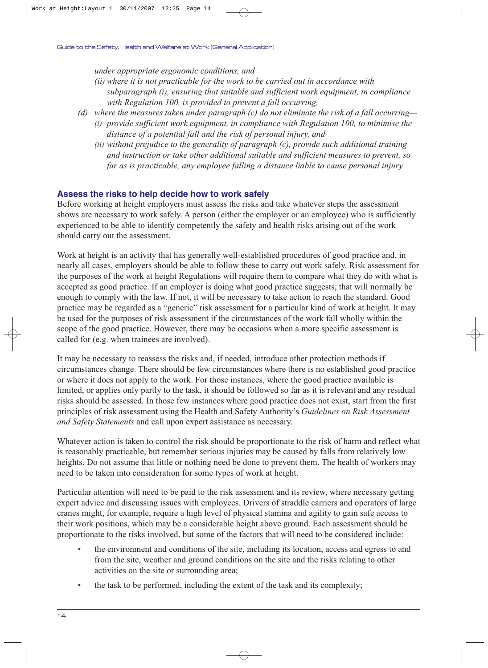*under appropriate ergonomic conditions, and*

- *(ii) where it is not practicable for the work to be carried out in accordance with subparagraph (i), ensuring that suitable and sufficient work equipment, in compliance with Regulation 100, is provided to prevent a fall occurring,*
- *(d) where the measures taken under paragraph (c) do not eliminate the risk of a fall occurring— (i) provide sufficient work equipment, in compliance with Regulation 100, to minimise the distance of a potential fall and the risk of personal injury, and*
	- *(ii) without prejudice to the generality of paragraph (c), provide such additional training and instruction or take other additional suitable and sufficient measures to prevent, so far as is practicable, any employee falling a distance liable to cause personal injury.*

#### **Assess the risks to help decide how to work safely**

Before working at height employers must assess the risks and take whatever steps the assessment shows are necessary to work safely. A person (either the employer or an employee) who is sufficiently experienced to be able to identify competently the safety and health risks arising out of the work should carry out the assessment.

Work at height is an activity that has generally well-established procedures of good practice and, in nearly all cases, employers should be able to follow these to carry out work safely. Risk assessment for the purposes of the work at height Regulations will require them to compare what they do with what is accepted as good practice. If an employer is doing what good practice suggests, that will normally be enough to comply with the law. If not, it will be necessary to take action to reach the standard. Good practice may be regarded as a "generic" risk assessment for a particular kind of work at height. It may be used for the purposes of risk assessment if the circumstances of the work fall wholly within the scope of the good practice. However, there may be occasions when a more specific assessment is called for (e.g. when trainees are involved).

It may be necessary to reassess the risks and, if needed, introduce other protection methods if circumstances change. There should be few circumstances where there is no established good practice or where it does not apply to the work. For those instances, where the good practice available is limited, or applies only partly to the task, it should be followed so far as it is relevant and any residual risks should be assessed. In those few instances where good practice does not exist, start from the first principles of risk assessment using the Health and Safety Authority's *Guidelines on Risk Assessment and Safety Statements* and call upon expert assistance as necessary.

Whatever action is taken to control the risk should be proportionate to the risk of harm and reflect what is reasonably practicable, but remember serious injuries may be caused by falls from relatively low heights. Do not assume that little or nothing need be done to prevent them. The health of workers may need to be taken into consideration for some types of work at height.

Particular attention will need to be paid to the risk assessment and its review, where necessary getting expert advice and discussing issues with employees. Drivers of straddle carriers and operators of large cranes might, for example, require a high level of physical stamina and agility to gain safe access to their work positions, which may be a considerable height above ground. Each assessment should be proportionate to the risks involved, but some of the factors that will need to be considered include:

- the environment and conditions of the site, including its location, access and egress to and from the site, weather and ground conditions on the site and the risks relating to other activities on the site or surrounding area;
- the task to be performed, including the extent of the task and its complexity;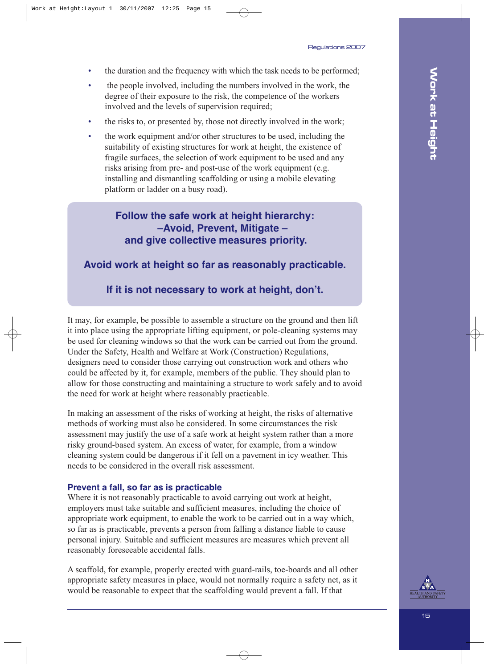- the duration and the frequency with which the task needs to be performed;
- the people involved, including the numbers involved in the work, the degree of their exposure to the risk, the competence of the workers involved and the levels of supervision required;
- the risks to, or presented by, those not directly involved in the work;
- the work equipment and/or other structures to be used, including the suitability of existing structures for work at height, the existence of fragile surfaces, the selection of work equipment to be used and any risks arising from pre- and post-use of the work equipment (e.g. installing and dismantling scaffolding or using a mobile elevating platform or ladder on a busy road).

## **Follow the safe work at height hierarchy: –Avoid, Prevent, Mitigate – and give collective measures priority.**

#### **Avoid work at height so far as reasonably practicable.**

**If it is not necessary to work at height, don't.**

It may, for example, be possible to assemble a structure on the ground and then lift it into place using the appropriate lifting equipment, or pole-cleaning systems may be used for cleaning windows so that the work can be carried out from the ground. Under the Safety, Health and Welfare at Work (Construction) Regulations, designers need to consider those carrying out construction work and others who could be affected by it, for example, members of the public. They should plan to allow for those constructing and maintaining a structure to work safely and to avoid the need for work at height where reasonably practicable.

In making an assessment of the risks of working at height, the risks of alternative methods of working must also be considered. In some circumstances the risk assessment may justify the use of a safe work at height system rather than a more risky ground-based system. An excess of water, for example, from a window cleaning system could be dangerous if it fell on a pavement in icy weather. This needs to be considered in the overall risk assessment.

#### **Prevent a fall, so far as is practicable**

Where it is not reasonably practicable to avoid carrying out work at height, employers must take suitable and sufficient measures, including the choice of appropriate work equipment, to enable the work to be carried out in a way which, so far as is practicable, prevents a person from falling a distance liable to cause personal injury. Suitable and sufficient measures are measures which prevent all reasonably foreseeable accidental falls.

A scaffold, for example, properly erected with guard-rails, toe-boards and all other appropriate safety measures in place, would not normally require a safety net, as it would be reasonable to expect that the scaffolding would prevent a fall. If that

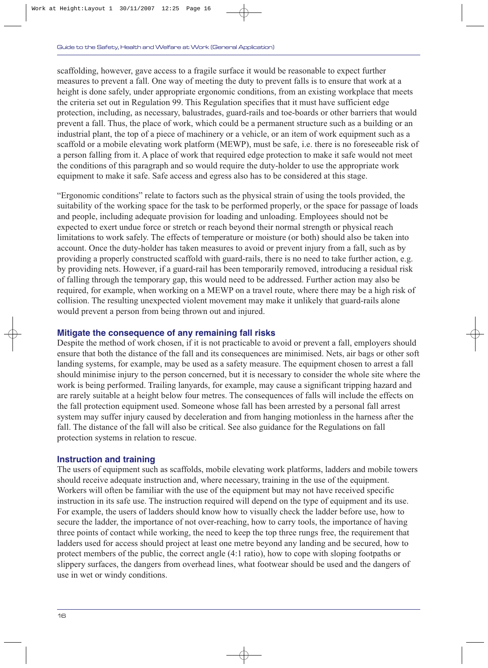scaffolding, however, gave access to a fragile surface it would be reasonable to expect further measures to prevent a fall. One way of meeting the duty to prevent falls is to ensure that work at a height is done safely, under appropriate ergonomic conditions, from an existing workplace that meets the criteria set out in Regulation 99. This Regulation specifies that it must have sufficient edge protection, including, as necessary, balustrades, guard-rails and toe-boards or other barriers that would prevent a fall. Thus, the place of work, which could be a permanent structure such as a building or an industrial plant, the top of a piece of machinery or a vehicle, or an item of work equipment such as a scaffold or a mobile elevating work platform (MEWP), must be safe, i.e. there is no foreseeable risk of a person falling from it. A place of work that required edge protection to make it safe would not meet the conditions of this paragraph and so would require the duty-holder to use the appropriate work equipment to make it safe. Safe access and egress also has to be considered at this stage.

"Ergonomic conditions" relate to factors such as the physical strain of using the tools provided, the suitability of the working space for the task to be performed properly, or the space for passage of loads and people, including adequate provision for loading and unloading. Employees should not be expected to exert undue force or stretch or reach beyond their normal strength or physical reach limitations to work safely. The effects of temperature or moisture (or both) should also be taken into account. Once the duty-holder has taken measures to avoid or prevent injury from a fall, such as by providing a properly constructed scaffold with guard-rails, there is no need to take further action, e.g. by providing nets. However, if a guard-rail has been temporarily removed, introducing a residual risk of falling through the temporary gap, this would need to be addressed. Further action may also be required, for example, when working on a MEWP on a travel route, where there may be a high risk of collision. The resulting unexpected violent movement may make it unlikely that guard-rails alone would prevent a person from being thrown out and injured.

#### **Mitigate the consequence of any remaining fall risks**

Despite the method of work chosen, if it is not practicable to avoid or prevent a fall, employers should ensure that both the distance of the fall and its consequences are minimised. Nets, air bags or other soft landing systems, for example, may be used as a safety measure. The equipment chosen to arrest a fall should minimise injury to the person concerned, but it is necessary to consider the whole site where the work is being performed. Trailing lanyards, for example, may cause a significant tripping hazard and are rarely suitable at a height below four metres. The consequences of falls will include the effects on the fall protection equipment used. Someone whose fall has been arrested by a personal fall arrest system may suffer injury caused by deceleration and from hanging motionless in the harness after the fall. The distance of the fall will also be critical. See also guidance for the Regulations on fall protection systems in relation to rescue.

#### **Instruction and training**

The users of equipment such as scaffolds, mobile elevating work platforms, ladders and mobile towers should receive adequate instruction and, where necessary, training in the use of the equipment. Workers will often be familiar with the use of the equipment but may not have received specific instruction in its safe use. The instruction required will depend on the type of equipment and its use. For example, the users of ladders should know how to visually check the ladder before use, how to secure the ladder, the importance of not over-reaching, how to carry tools, the importance of having three points of contact while working, the need to keep the top three rungs free, the requirement that ladders used for access should project at least one metre beyond any landing and be secured, how to protect members of the public, the correct angle (4:1 ratio), how to cope with sloping footpaths or slippery surfaces, the dangers from overhead lines, what footwear should be used and the dangers of use in wet or windy conditions.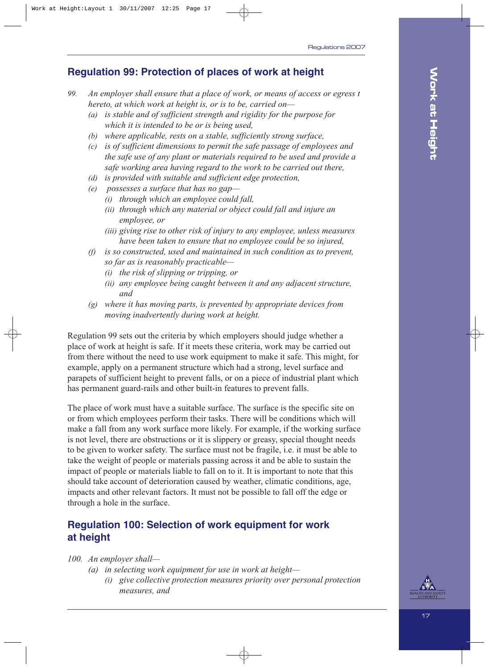## **Regulation 99: Protection of places of work at height**

- *99. An employer shall ensure that a place of work, or means of access or egress t hereto, at which work at height is, or is to be, carried on—*
	- *(a) is stable and of sufficient strength and rigidity for the purpose for which it is intended to be or is being used,*
	- *(b) where applicable, rests on a stable, sufficiently strong surface,*
	- *(c) is of sufficient dimensions to permit the safe passage of employees and the safe use of any plant or materials required to be used and provide a safe working area having regard to the work to be carried out there,*
	- *(d) is provided with suitable and sufficient edge protection,*
	- *(e) possesses a surface that has no gap—*
		- *(i) through which an employee could fall,*
		- *(ii) through which any material or object could fall and injure an employee, or*
		- *(iii) giving rise to other risk of injury to any employee, unless measures have been taken to ensure that no employee could be so injured,*
	- *(f) is so constructed, used and maintained in such condition as to prevent, so far as is reasonably practicable—*
		- *(i) the risk of slipping or tripping, or*
		- *(ii) any employee being caught between it and any adjacent structure, and*
	- *(g) where it has moving parts, is prevented by appropriate devices from moving inadvertently during work at height.*

Regulation 99 sets out the criteria by which employers should judge whether a place of work at height is safe. If it meets these criteria, work may be carried out from there without the need to use work equipment to make it safe. This might, for example, apply on a permanent structure which had a strong, level surface and parapets of sufficient height to prevent falls, or on a piece of industrial plant which has permanent guard-rails and other built-in features to prevent falls.

The place of work must have a suitable surface. The surface is the specific site on or from which employees perform their tasks. There will be conditions which will make a fall from any work surface more likely. For example, if the working surface is not level, there are obstructions or it is slippery or greasy, special thought needs to be given to worker safety. The surface must not be fragile, i.e. it must be able to take the weight of people or materials passing across it and be able to sustain the impact of people or materials liable to fall on to it. It is important to note that this should take account of deterioration caused by weather, climatic conditions, age, impacts and other relevant factors. It must not be possible to fall off the edge or through a hole in the surface.

## **Regulation 100: Selection of work equipment for work at height**

*100. An employer shall—*

- *(a) in selecting work equipment for use in work at height—*
	- *(i) give collective protection measures priority over personal protection measures, and*

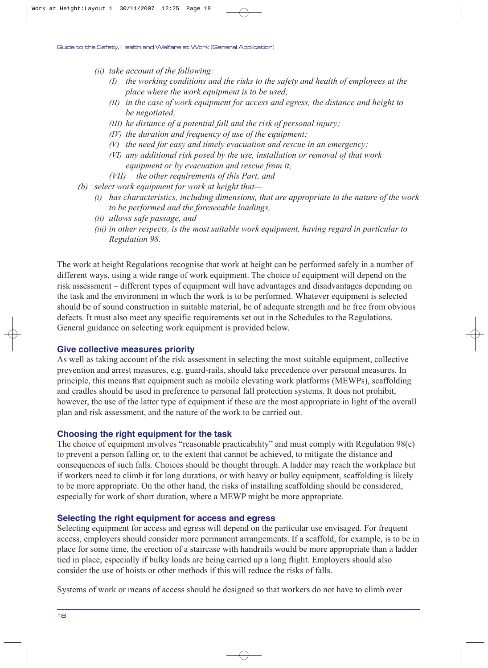- *(ii) take account of the following:*
	- *(I) the working conditions and the risks to the safety and health of employees at the place where the work equipment is to be used;*
	- *(II) in the case of work equipment for access and egress, the distance and height to be negotiated;*
	- *(III) he distance of a potential fall and the risk of personal injury;*
	- *(IV) the duration and frequency of use of the equipment;*
	- *(V) the need for easy and timely evacuation and rescue in an emergency;*
	- *(VI) any additional risk posed by the use, installation or removal of that work equipment or by evacuation and rescue from it;*
	- *(VII) the other requirements of this Part, and*
- *(b) select work equipment for work at height that—*
	- *(i) has characteristics, including dimensions, that are appropriate to the nature of the work to be performed and the foreseeable loadings,*
	- *(ii) allows safe passage, and*
	- *(iii) in other respects, is the most suitable work equipment, having regard in particular to Regulation 98.*

The work at height Regulations recognise that work at height can be performed safely in a number of different ways, using a wide range of work equipment. The choice of equipment will depend on the risk assessment – different types of equipment will have advantages and disadvantages depending on the task and the environment in which the work is to be performed. Whatever equipment is selected should be of sound construction in suitable material, be of adequate strength and be free from obvious defects. It must also meet any specific requirements set out in the Schedules to the Regulations. General guidance on selecting work equipment is provided below.

#### **Give collective measures priority**

As well as taking account of the risk assessment in selecting the most suitable equipment, collective prevention and arrest measures, e.g. guard-rails, should take precedence over personal measures. In principle, this means that equipment such as mobile elevating work platforms (MEWPs), scaffolding and cradles should be used in preference to personal fall protection systems. It does not prohibit, however, the use of the latter type of equipment if these are the most appropriate in light of the overall plan and risk assessment, and the nature of the work to be carried out.

#### **Choosing the right equipment for the task**

The choice of equipment involves "reasonable practicability" and must comply with Regulation 98(c) to prevent a person falling or, to the extent that cannot be achieved, to mitigate the distance and consequences of such falls. Choices should be thought through. A ladder may reach the workplace but if workers need to climb it for long durations, or with heavy or bulky equipment, scaffolding is likely to be more appropriate. On the other hand, the risks of installing scaffolding should be considered, especially for work of short duration, where a MEWP might be more appropriate.

#### **Selecting the right equipment for access and egress**

Selecting equipment for access and egress will depend on the particular use envisaged. For frequent access, employers should consider more permanent arrangements. If a scaffold, for example, is to be in place for some time, the erection of a staircase with handrails would be more appropriate than a ladder tied in place, especially if bulky loads are being carried up a long flight. Employers should also consider the use of hoists or other methods if this will reduce the risks of falls.

Systems of work or means of access should be designed so that workers do not have to climb over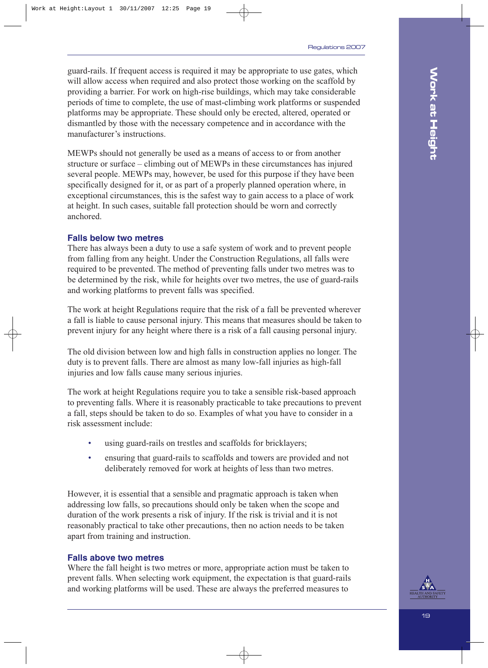guard-rails. If frequent access is required it may be appropriate to use gates, which will allow access when required and also protect those working on the scaffold by providing a barrier. For work on high-rise buildings, which may take considerable periods of time to complete, the use of mast-climbing work platforms or suspended platforms may be appropriate. These should only be erected, altered, operated or dismantled by those with the necessary competence and in accordance with the manufacturer's instructions.

MEWPs should not generally be used as a means of access to or from another structure or surface – climbing out of MEWPs in these circumstances has injured several people. MEWPs may, however, be used for this purpose if they have been specifically designed for it, or as part of a properly planned operation where, in exceptional circumstances, this is the safest way to gain access to a place of work at height. In such cases, suitable fall protection should be worn and correctly anchored.

#### **Falls below two metres**

There has always been a duty to use a safe system of work and to prevent people from falling from any height. Under the Construction Regulations, all falls were required to be prevented. The method of preventing falls under two metres was to be determined by the risk, while for heights over two metres, the use of guard-rails and working platforms to prevent falls was specified.

The work at height Regulations require that the risk of a fall be prevented wherever a fall is liable to cause personal injury. This means that measures should be taken to prevent injury for any height where there is a risk of a fall causing personal injury.

The old division between low and high falls in construction applies no longer. The duty is to prevent falls. There are almost as many low-fall injuries as high-fall injuries and low falls cause many serious injuries.

The work at height Regulations require you to take a sensible risk-based approach to preventing falls. Where it is reasonably practicable to take precautions to prevent a fall, steps should be taken to do so. Examples of what you have to consider in a risk assessment include:

- using guard-rails on trestles and scaffolds for bricklayers;
- ensuring that guard-rails to scaffolds and towers are provided and not deliberately removed for work at heights of less than two metres.

However, it is essential that a sensible and pragmatic approach is taken when addressing low falls, so precautions should only be taken when the scope and duration of the work presents a risk of injury. If the risk is trivial and it is not reasonably practical to take other precautions, then no action needs to be taken apart from training and instruction.

#### **Falls above two metres**

Where the fall height is two metres or more, appropriate action must be taken to prevent falls. When selecting work equipment, the expectation is that guard-rails and working platforms will be used. These are always the preferred measures to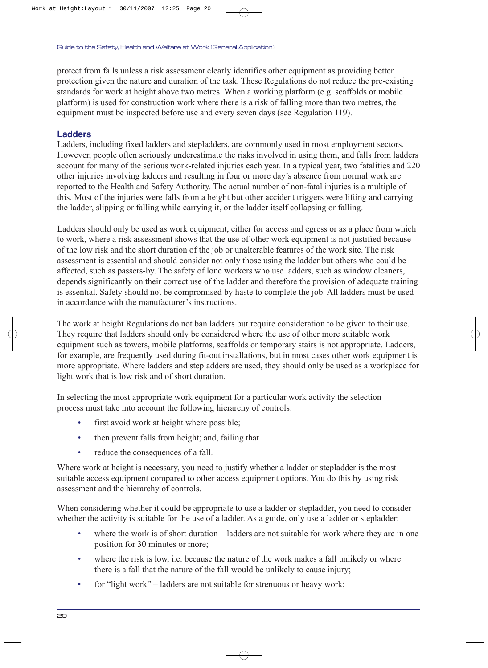protect from falls unless a risk assessment clearly identifies other equipment as providing better protection given the nature and duration of the task. These Regulations do not reduce the pre-existing standards for work at height above two metres. When a working platform (e.g. scaffolds or mobile platform) is used for construction work where there is a risk of falling more than two metres, the equipment must be inspected before use and every seven days (see Regulation 119).

#### **Ladders**

Ladders, including fixed ladders and stepladders, are commonly used in most employment sectors. However, people often seriously underestimate the risks involved in using them, and falls from ladders account for many of the serious work-related injuries each year. In a typical year, two fatalities and 220 other injuries involving ladders and resulting in four or more day's absence from normal work are reported to the Health and Safety Authority. The actual number of non-fatal injuries is a multiple of this. Most of the injuries were falls from a height but other accident triggers were lifting and carrying the ladder, slipping or falling while carrying it, or the ladder itself collapsing or falling.

Ladders should only be used as work equipment, either for access and egress or as a place from which to work, where a risk assessment shows that the use of other work equipment is not justified because of the low risk and the short duration of the job or unalterable features of the work site. The risk assessment is essential and should consider not only those using the ladder but others who could be affected, such as passers-by. The safety of lone workers who use ladders, such as window cleaners, depends significantly on their correct use of the ladder and therefore the provision of adequate training is essential. Safety should not be compromised by haste to complete the job. All ladders must be used in accordance with the manufacturer's instructions.

The work at height Regulations do not ban ladders but require consideration to be given to their use. They require that ladders should only be considered where the use of other more suitable work equipment such as towers, mobile platforms, scaffolds or temporary stairs is not appropriate. Ladders, for example, are frequently used during fit-out installations, but in most cases other work equipment is more appropriate. Where ladders and stepladders are used, they should only be used as a workplace for light work that is low risk and of short duration.

In selecting the most appropriate work equipment for a particular work activity the selection process must take into account the following hierarchy of controls:

- first avoid work at height where possible;
- then prevent falls from height; and, failing that
- reduce the consequences of a fall.

Where work at height is necessary, you need to justify whether a ladder or stepladder is the most suitable access equipment compared to other access equipment options. You do this by using risk assessment and the hierarchy of controls.

When considering whether it could be appropriate to use a ladder or stepladder, you need to consider whether the activity is suitable for the use of a ladder. As a guide, only use a ladder or stepladder:

- where the work is of short duration ladders are not suitable for work where they are in one position for 30 minutes or more;
- where the risk is low, i.e. because the nature of the work makes a fall unlikely or where there is a fall that the nature of the fall would be unlikely to cause injury;
- for "light work" ladders are not suitable for strenuous or heavy work;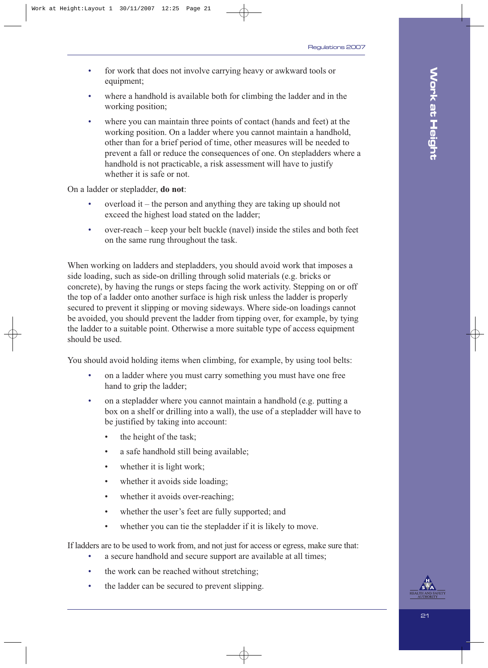- for work that does not involve carrying heavy or awkward tools or equipment;
- where a handhold is available both for climbing the ladder and in the working position;
- where you can maintain three points of contact (hands and feet) at the working position. On a ladder where you cannot maintain a handhold, other than for a brief period of time, other measures will be needed to prevent a fall or reduce the consequences of one. On stepladders where a handhold is not practicable, a risk assessment will have to justify whether it is safe or not.

On a ladder or stepladder, **do not**:

- $\alpha$  overload it the person and anything they are taking up should not exceed the highest load stated on the ladder;
- over-reach keep your belt buckle (navel) inside the stiles and both feet on the same rung throughout the task.

When working on ladders and stepladders, you should avoid work that imposes a side loading, such as side-on drilling through solid materials (e.g. bricks or concrete), by having the rungs or steps facing the work activity. Stepping on or off the top of a ladder onto another surface is high risk unless the ladder is properly secured to prevent it slipping or moving sideways. Where side-on loadings cannot be avoided, you should prevent the ladder from tipping over, for example, by tying the ladder to a suitable point. Otherwise a more suitable type of access equipment should be used.

You should avoid holding items when climbing, for example, by using tool belts:

- on a ladder where you must carry something you must have one free hand to grip the ladder;
- on a stepladder where you cannot maintain a handhold (e.g. putting a box on a shelf or drilling into a wall), the use of a stepladder will have to be justified by taking into account:
	- the height of the task;
	- a safe handhold still being available;
	- whether it is light work;
	- whether it avoids side loading;
	- whether it avoids over-reaching;
	- whether the user's feet are fully supported; and
	- whether you can tie the stepladder if it is likely to move.

If ladders are to be used to work from, and not just for access or egress, make sure that:

- a secure handhold and secure support are available at all times;
- the work can be reached without stretching;
- the ladder can be secured to prevent slipping.

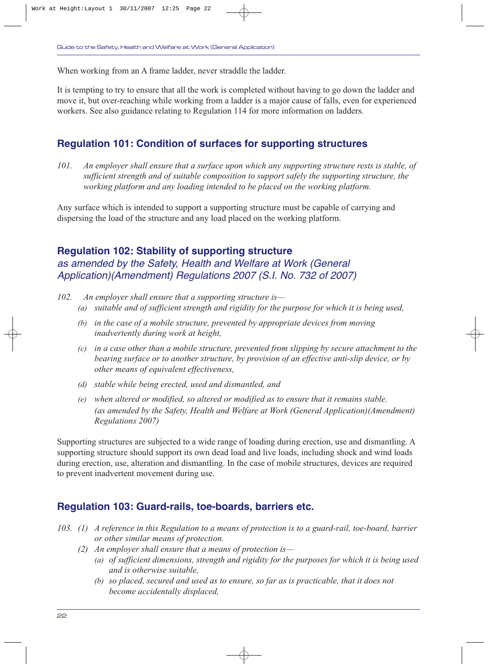When working from an A frame ladder, never straddle the ladder.

It is tempting to try to ensure that all the work is completed without having to go down the ladder and move it, but over-reaching while working from a ladder is a major cause of falls, even for experienced workers. See also guidance relating to Regulation 114 for more information on ladders.

## **Regulation 101: Condition of surfaces for supporting structures**

*101. An employer shall ensure that a surface upon which any supporting structure rests is stable, of sufficient strength and of suitable composition to support safely the supporting structure, the working platform and any loading intended to be placed on the working platform.*

Any surface which is intended to support a supporting structure must be capable of carrying and dispersing the load of the structure and any load placed on the working platform.

### **Regulation 102: Stability of supporting structure**

as amended by the Safety, Health and Welfare at Work (General Application)(Amendment) Regulations 2007 (S.I. No. 732 of 2007)

- *102. An employer shall ensure that a supporting structure is—*
	- *(a) suitable and of sufficient strength and rigidity for the purpose for which it is being used,*
	- *(b) in the case of a mobile structure, prevented by appropriate devices from moving inadvertently during work at height,*
	- *(c) in a case other than a mobile structure, prevented from slipping by secure attachment to the bearing surface or to another structure, by provision of an effective anti-slip device, or by other means of equivalent effectiveness,*
	- *(d) stable while being erected, used and dismantled, and*
	- *(e) when altered or modified, so altered or modified as to ensure that it remains stable. (as amended by the Safety, Health and Welfare at Work (General Application)(Amendment) Regulations 2007)*

Supporting structures are subjected to a wide range of loading during erection, use and dismantling. A supporting structure should support its own dead load and live loads, including shock and wind loads during erection, use, alteration and dismantling. In the case of mobile structures, devices are required to prevent inadvertent movement during use.

### **Regulation 103: Guard-rails, toe-boards, barriers etc.**

- *103. (1) A reference in this Regulation to a means of protection is to a guard-rail, toe-board, barrier or other similar means of protection.*
	- *(2) An employer shall ensure that a means of protection is—*
		- *(a) of sufficient dimensions, strength and rigidity for the purposes for which it is being used and is otherwise suitable,*
		- *(b) so placed, secured and used as to ensure, so far as is practicable, that it does not become accidentally displaced,*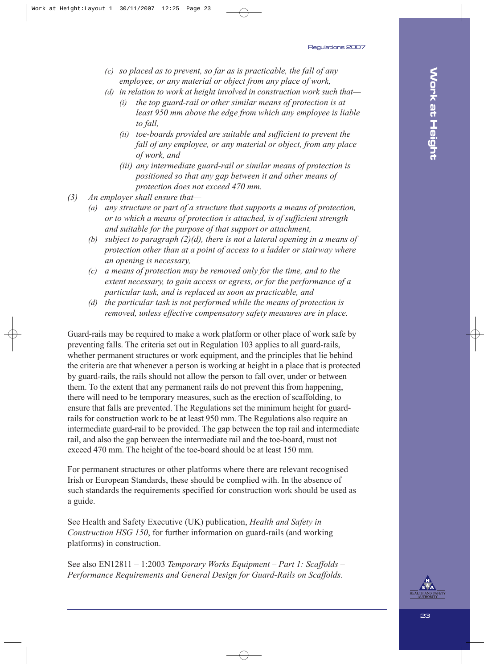- *(c) so placed as to prevent, so far as is practicable, the fall of any employee, or any material or object from any place of work,*
- *(d) in relation to work at height involved in construction work such that—*
	- *(i) the top guard-rail or other similar means of protection is at least 950 mm above the edge from which any employee is liable to fall,*
	- *(ii) toe-boards provided are suitable and sufficient to prevent the fall of any employee, or any material or object, from any place of work, and*
	- *(iii) any intermediate guard-rail or similar means of protection is positioned so that any gap between it and other means of protection does not exceed 470 mm.*
- *(3) An employer shall ensure that—*
	- *(a) any structure or part of a structure that supports a means of protection, or to which a means of protection is attached, is of sufficient strength and suitable for the purpose of that support or attachment,*
	- *(b) subject to paragraph (2)(d), there is not a lateral opening in a means of protection other than at a point of access to a ladder or stairway where an opening is necessary,*
	- *(c) a means of protection may be removed only for the time, and to the extent necessary, to gain access or egress, or for the performance of a particular task, and is replaced as soon as practicable, and*
	- *(d) the particular task is not performed while the means of protection is removed, unless effective compensatory safety measures are in place.*

Guard-rails may be required to make a work platform or other place of work safe by preventing falls. The criteria set out in Regulation 103 applies to all guard-rails, whether permanent structures or work equipment, and the principles that lie behind the criteria are that whenever a person is working at height in a place that is protected by guard-rails, the rails should not allow the person to fall over, under or between them. To the extent that any permanent rails do not prevent this from happening, there will need to be temporary measures, such as the erection of scaffolding, to ensure that falls are prevented. The Regulations set the minimum height for guardrails for construction work to be at least 950 mm. The Regulations also require an intermediate guard-rail to be provided. The gap between the top rail and intermediate rail, and also the gap between the intermediate rail and the toe-board, must not exceed 470 mm. The height of the toe-board should be at least 150 mm.

For permanent structures or other platforms where there are relevant recognised Irish or European Standards, these should be complied with. In the absence of such standards the requirements specified for construction work should be used as a guide.

See Health and Safety Executive (UK) publication, *Health and Safety in Construction HSG 150*, for further information on guard-rails (and working platforms) in construction.

See also EN12811 – 1:2003 *Temporary Works Equipment – Part 1: Scaffolds – Performance Requirements and General Design for Guard-Rails on Scaffolds*.

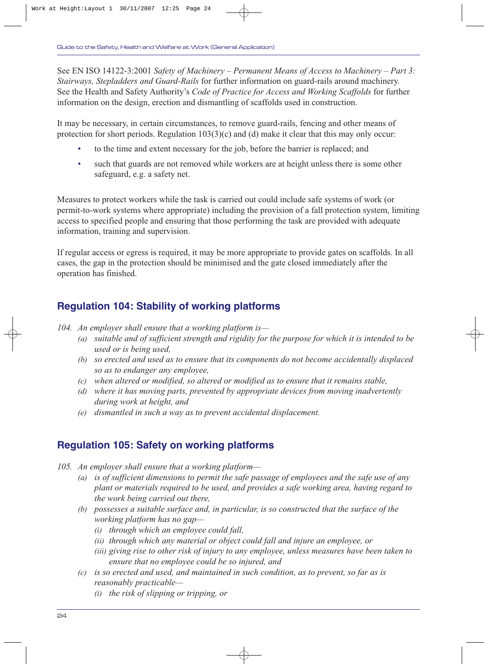See EN ISO 14122-3:2001 *Safety of Machinery – Permanent Means of Access to Machinery – Part 3: Stairways, Stepladders and Guard-Rails* for further information on guard-rails around machinery. See the Health and Safety Authority's *Code of Practice for Access and Working Scaffolds* for further information on the design, erection and dismantling of scaffolds used in construction.

It may be necessary, in certain circumstances, to remove guard-rails, fencing and other means of protection for short periods. Regulation 103(3)(c) and (d) make it clear that this may only occur:

- to the time and extent necessary for the job, before the barrier is replaced; and
- such that guards are not removed while workers are at height unless there is some other safeguard, e.g. a safety net.

Measures to protect workers while the task is carried out could include safe systems of work (or permit-to-work systems where appropriate) including the provision of a fall protection system, limiting access to specified people and ensuring that those performing the task are provided with adequate information, training and supervision.

If regular access or egress is required, it may be more appropriate to provide gates on scaffolds. In all cases, the gap in the protection should be minimised and the gate closed immediately after the operation has finished.

## **Regulation 104: Stability of working platforms**

*104. An employer shall ensure that a working platform is—*

- *(a) suitable and of sufficient strength and rigidity for the purpose for which it is intended to be used or is being used,*
- *(b) so erected and used as to ensure that its components do not become accidentally displaced so as to endanger any employee,*
- *(c) when altered or modified, so altered or modified as to ensure that it remains stable,*
- *(d) where it has moving parts, prevented by appropriate devices from moving inadvertently during work at height, and*
- *(e) dismantled in such a way as to prevent accidental displacement.*

## **Regulation 105: Safety on working platforms**

- *105. An employer shall ensure that a working platform—*
	- *(a) is of sufficient dimensions to permit the safe passage of employees and the safe use of any plant or materials required to be used, and provides a safe working area, having regard to the work being carried out there,*
	- *(b) possesses a suitable surface and, in particular, is so constructed that the surface of the working platform has no gap—*
		- *(i) through which an employee could fall,*
		- *(ii) through which any material or object could fall and injure an employee, or*
		- *(iii) giving rise to other risk of injury to any employee, unless measures have been taken to ensure that no employee could be so injured, and*
	- *(c) is so erected and used, and maintained in such condition, as to prevent, so far as is reasonably practicable—*
		- *(i) the risk of slipping or tripping, or*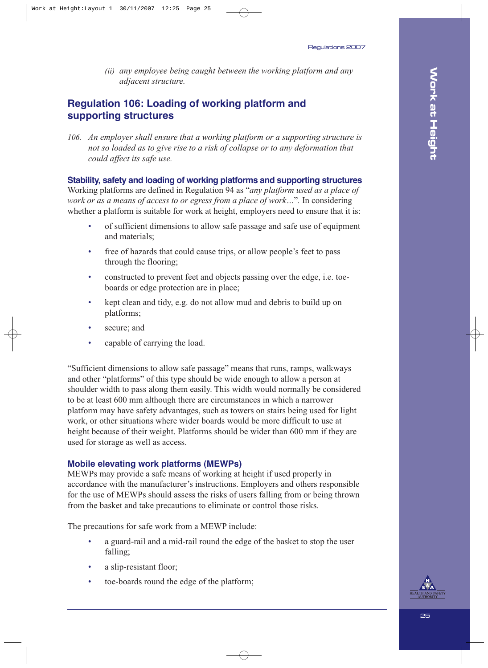*(ii) any employee being caught between the working platform and any adjacent structure.*

## **Regulation 106: Loading of working platform and supporting structures**

*106. An employer shall ensure that a working platform or a supporting structure is not so loaded as to give rise to a risk of collapse or to any deformation that could affect its safe use.*

#### **Stability, safety and loading of working platforms and supporting structures**

Working platforms are defined in Regulation 94 as "*any platform used as a place of work or as a means of access to or egress from a place of work…*"*.* In considering whether a platform is suitable for work at height, employers need to ensure that it is:

- of sufficient dimensions to allow safe passage and safe use of equipment and materials;
- free of hazards that could cause trips, or allow people's feet to pass through the flooring;
- constructed to prevent feet and objects passing over the edge, i.e. toeboards or edge protection are in place;
- kept clean and tidy, e.g. do not allow mud and debris to build up on platforms;
- secure; and
- capable of carrying the load.

"Sufficient dimensions to allow safe passage" means that runs, ramps, walkways and other "platforms" of this type should be wide enough to allow a person at shoulder width to pass along them easily. This width would normally be considered to be at least 600 mm although there are circumstances in which a narrower platform may have safety advantages, such as towers on stairs being used for light work, or other situations where wider boards would be more difficult to use at height because of their weight. Platforms should be wider than 600 mm if they are used for storage as well as access.

#### **Mobile elevating work platforms (MEWPs)**

MEWPs may provide a safe means of working at height if used properly in accordance with the manufacturer's instructions. Employers and others responsible for the use of MEWPs should assess the risks of users falling from or being thrown from the basket and take precautions to eliminate or control those risks.

The precautions for safe work from a MEWP include:

- a guard-rail and a mid-rail round the edge of the basket to stop the user falling;
- a slip-resistant floor;
- toe-boards round the edge of the platform;



**Work at Height**

**Work at Height**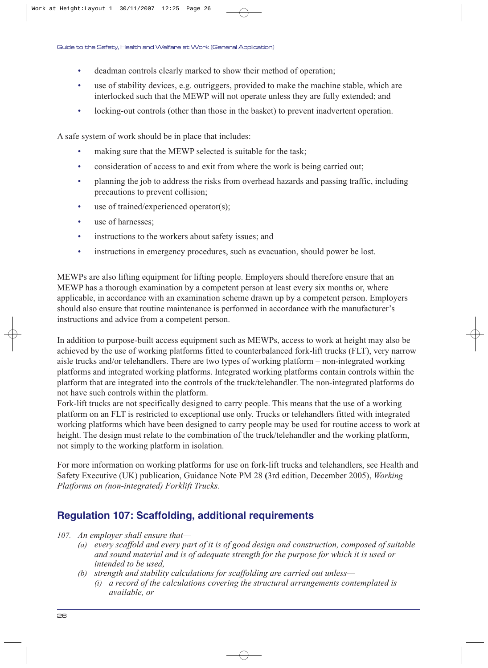- deadman controls clearly marked to show their method of operation;
- use of stability devices, e.g. outriggers, provided to make the machine stable, which are interlocked such that the MEWP will not operate unless they are fully extended; and
- locking-out controls (other than those in the basket) to prevent inadvertent operation.

A safe system of work should be in place that includes:

- making sure that the MEWP selected is suitable for the task;
- consideration of access to and exit from where the work is being carried out;
- planning the job to address the risks from overhead hazards and passing traffic, including precautions to prevent collision;
- use of trained/experienced operator(s);
- use of harnesses;
- instructions to the workers about safety issues; and
- instructions in emergency procedures, such as evacuation, should power be lost.

MEWPs are also lifting equipment for lifting people. Employers should therefore ensure that an MEWP has a thorough examination by a competent person at least every six months or, where applicable, in accordance with an examination scheme drawn up by a competent person. Employers should also ensure that routine maintenance is performed in accordance with the manufacturer's instructions and advice from a competent person.

In addition to purpose-built access equipment such as MEWPs, access to work at height may also be achieved by the use of working platforms fitted to counterbalanced fork-lift trucks (FLT), very narrow aisle trucks and/or telehandlers. There are two types of working platform – non-integrated working platforms and integrated working platforms. Integrated working platforms contain controls within the platform that are integrated into the controls of the truck/telehandler. The non-integrated platforms do not have such controls within the platform.

Fork-lift trucks are not specifically designed to carry people. This means that the use of a working platform on an FLT is restricted to exceptional use only. Trucks or telehandlers fitted with integrated working platforms which have been designed to carry people may be used for routine access to work at height. The design must relate to the combination of the truck/telehandler and the working platform, not simply to the working platform in isolation.

For more information on working platforms for use on fork-lift trucks and telehandlers, see Health and Safety Executive (UK) publication, Guidance Note PM 28 **(**3rd edition, December 2005), *Working Platforms on (non-integrated) Forklift Trucks*.

## **Regulation 107: Scaffolding, additional requirements**

*107. An employer shall ensure that—*

- *(a) every scaffold and every part of it is of good design and construction, composed of suitable and sound material and is of adequate strength for the purpose for which it is used or intended to be used,*
- *(b) strength and stability calculations for scaffolding are carried out unless—*
	- *(i) a record of the calculations covering the structural arrangements contemplated is available, or*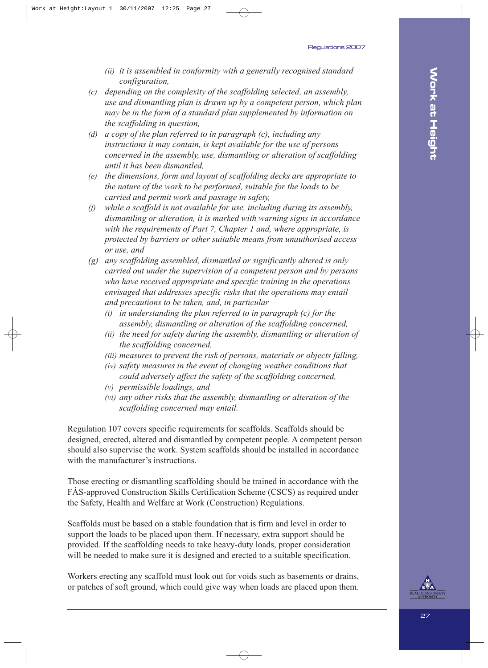- *(ii) it is assembled in conformity with a generally recognised standard configuration,*
- *(c) depending on the complexity of the scaffolding selected, an assembly, use and dismantling plan is drawn up by a competent person, which plan may be in the form of a standard plan supplemented by information on the scaffolding in question,*
- *(d) a copy of the plan referred to in paragraph (c), including any instructions it may contain, is kept available for the use of persons concerned in the assembly, use, dismantling or alteration of scaffolding until it has been dismantled,*
- *(e) the dimensions, form and layout of scaffolding decks are appropriate to the nature of the work to be performed, suitable for the loads to be carried and permit work and passage in safety,*
- *(f) while a scaffold is not available for use, including during its assembly, dismantling or alteration, it is marked with warning signs in accordance with the requirements of Part 7, Chapter 1 and, where appropriate, is protected by barriers or other suitable means from unauthorised access or use, and*
- *(g) any scaffolding assembled, dismantled or significantly altered is only carried out under the supervision of a competent person and by persons who have received appropriate and specific training in the operations envisaged that addresses specific risks that the operations may entail and precautions to be taken, and, in particular—*
	- *(i) in understanding the plan referred to in paragraph (c) for the assembly, dismantling or alteration of the scaffolding concerned,*
	- *(ii) the need for safety during the assembly, dismantling or alteration of the scaffolding concerned,*
	- *(iii) measures to prevent the risk of persons, materials or objects falling,*
	- *(iv) safety measures in the event of changing weather conditions that could adversely affect the safety of the scaffolding concerned,*
	- *(v) permissible loadings, and*
	- *(vi) any other risks that the assembly, dismantling or alteration of the scaffolding concerned may entail.*

Regulation 107 covers specific requirements for scaffolds. Scaffolds should be designed, erected, altered and dismantled by competent people. A competent person should also supervise the work. System scaffolds should be installed in accordance with the manufacturer's instructions.

Those erecting or dismantling scaffolding should be trained in accordance with the FÁS-approved Construction Skills Certification Scheme (CSCS) as required under the Safety, Health and Welfare at Work (Construction) Regulations.

Scaffolds must be based on a stable foundation that is firm and level in order to support the loads to be placed upon them. If necessary, extra support should be provided. If the scaffolding needs to take heavy-duty loads, proper consideration will be needed to make sure it is designed and erected to a suitable specification.

Workers erecting any scaffold must look out for voids such as basements or drains, or patches of soft ground, which could give way when loads are placed upon them.

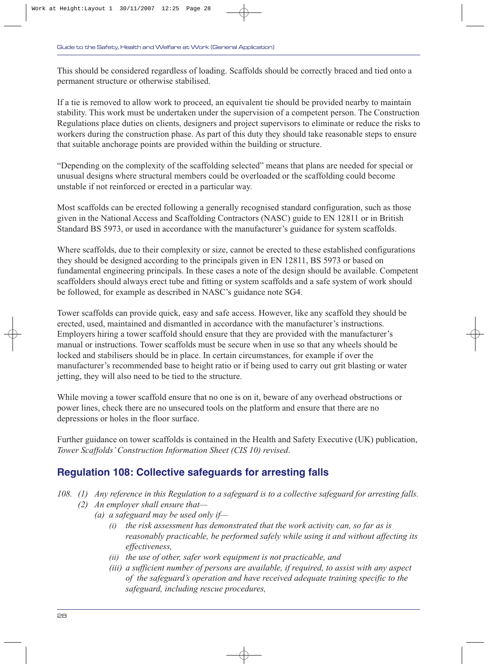This should be considered regardless of loading. Scaffolds should be correctly braced and tied onto a permanent structure or otherwise stabilised.

If a tie is removed to allow work to proceed, an equivalent tie should be provided nearby to maintain stability. This work must be undertaken under the supervision of a competent person. The Construction Regulations place duties on clients, designers and project supervisors to eliminate or reduce the risks to workers during the construction phase. As part of this duty they should take reasonable steps to ensure that suitable anchorage points are provided within the building or structure.

"Depending on the complexity of the scaffolding selected" means that plans are needed for special or unusual designs where structural members could be overloaded or the scaffolding could become unstable if not reinforced or erected in a particular way.

Most scaffolds can be erected following a generally recognised standard configuration, such as those given in the National Access and Scaffolding Contractors (NASC) guide to EN 12811 or in British Standard BS 5973, or used in accordance with the manufacturer's guidance for system scaffolds.

Where scaffolds, due to their complexity or size, cannot be erected to these established configurations they should be designed according to the principals given in EN 12811, BS 5973 or based on fundamental engineering principals. In these cases a note of the design should be available. Competent scaffolders should always erect tube and fitting or system scaffolds and a safe system of work should be followed, for example as described in NASC's guidance note SG4.

Tower scaffolds can provide quick, easy and safe access. However, like any scaffold they should be erected, used, maintained and dismantled in accordance with the manufacturer's instructions. Employers hiring a tower scaffold should ensure that they are provided with the manufacturer's manual or instructions. Tower scaffolds must be secure when in use so that any wheels should be locked and stabilisers should be in place. In certain circumstances, for example if over the manufacturer's recommended base to height ratio or if being used to carry out grit blasting or water jetting, they will also need to be tied to the structure.

While moving a tower scaffold ensure that no one is on it, beware of any overhead obstructions or power lines, check there are no unsecured tools on the platform and ensure that there are no depressions or holes in the floor surface.

Further guidance on tower scaffolds is contained in the Health and Safety Executive (UK) publication, *Tower Scaffolds' Construction Information Sheet (CIS 10) revised*.

## **Regulation 108: Collective safeguards for arresting falls**

- *108. (1) Any reference in this Regulation to a safeguard is to a collective safeguard for arresting falls.*
	- *(2) An employer shall ensure that—*
		- *(a) a safeguard may be used only if—*
			- *(i) the risk assessment has demonstrated that the work activity can, so far as is reasonably practicable, be performed safely while using it and without affecting its effectiveness,*
			- *(ii) the use of other, safer work equipment is not practicable, and*
			- *(iii) a sufficient number of persons are available, if required, to assist with any aspect of the safeguard's operation and have received adequate training specific to the safeguard, including rescue procedures,*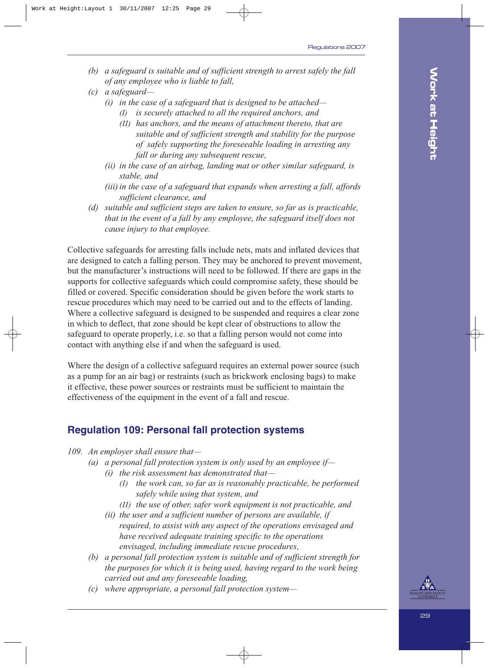- *(b) a safeguard is suitable and of sufficient strength to arrest safely the fall of any employee who is liable to fall,*
- *(c) a safeguard—*
	- *(i) in the case of a safeguard that is designed to be attached—*
		- *(I) is securely attached to all the required anchors, and*
		- *(II) has anchors, and the means of attachment thereto, that are suitable and of sufficient strength and stability for the purpose of safely supporting the foreseeable loading in arresting any fall or during any subsequent rescue,*
	- *(ii) in the case of an airbag, landing mat or other similar safeguard, is stable, and*
	- *(iii) in the case of a safeguard that expands when arresting a fall, affords sufficient clearance, and*
- *(d) suitable and sufficient steps are taken to ensure, so far as is practicable, that in the event of a fall by any employee, the safeguard itself does not cause injury to that employee.*

Collective safeguards for arresting falls include nets, mats and inflated devices that are designed to catch a falling person. They may be anchored to prevent movement, but the manufacturer's instructions will need to be followed. If there are gaps in the supports for collective safeguards which could compromise safety, these should be filled or covered. Specific consideration should be given before the work starts to rescue procedures which may need to be carried out and to the effects of landing. Where a collective safeguard is designed to be suspended and requires a clear zone in which to deflect, that zone should be kept clear of obstructions to allow the safeguard to operate properly, i.e. so that a falling person would not come into contact with anything else if and when the safeguard is used.

Where the design of a collective safeguard requires an external power source (such as a pump for an air bag) or restraints (such as brickwork enclosing bags) to make it effective, these power sources or restraints must be sufficient to maintain the effectiveness of the equipment in the event of a fall and rescue.

### **Regulation 109: Personal fall protection systems**

*109. An employer shall ensure that—*

- *(a) a personal fall protection system is only used by an employee if—*
	- *(i) the risk assessment has demonstrated that—*
		- *(I) the work can, so far as is reasonably practicable, be performed safely while using that system, and*
		- *(II) the use of other, safer work equipment is not practicable, and*
	- *(ii) the user and a sufficient number of persons are available, if required, to assist with any aspect of the operations envisaged and have received adequate training specific to the operations envisaged, including immediate rescue procedures,*
- *(b) a personal fall protection system is suitable and of sufficient strength for the purposes for which it is being used, having regard to the work being carried out and any foreseeable loading,*
- *(c) where appropriate, a personal fall protection system—*

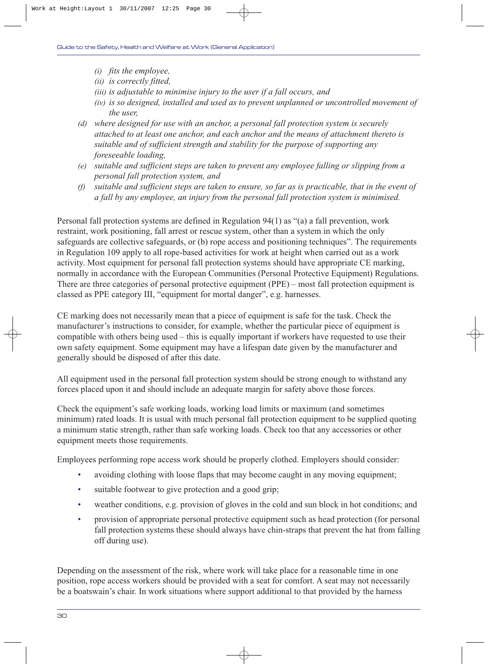- *(i) fits the employee,*
- *(ii) is correctly fitted,*
- *(iii) is adjustable to minimise injury to the user if a fall occurs, and*
- *(iv) is so designed, installed and used as to prevent unplanned or uncontrolled movement of the user,*
- *(d) where designed for use with an anchor, a personal fall protection system is securely attached to at least one anchor, and each anchor and the means of attachment thereto is suitable and of sufficient strength and stability for the purpose of supporting any foreseeable loading,*
- *(e) suitable and sufficient steps are taken to prevent any employee falling or slipping from a personal fall protection system, and*
- *(f) suitable and sufficient steps are taken to ensure, so far as is practicable, that in the event of a fall by any employee, an injury from the personal fall protection system is minimised.*

Personal fall protection systems are defined in Regulation 94(1) as "(a) a fall prevention, work restraint, work positioning, fall arrest or rescue system, other than a system in which the only safeguards are collective safeguards, or (b) rope access and positioning techniques". The requirements in Regulation 109 apply to all rope-based activities for work at height when carried out as a work activity. Most equipment for personal fall protection systems should have appropriate CE marking, normally in accordance with the European Communities (Personal Protective Equipment) Regulations. There are three categories of personal protective equipment (PPE) – most fall protection equipment is classed as PPE category III, "equipment for mortal danger", e.g. harnesses.

CE marking does not necessarily mean that a piece of equipment is safe for the task. Check the manufacturer's instructions to consider, for example, whether the particular piece of equipment is compatible with others being used – this is equally important if workers have requested to use their own safety equipment. Some equipment may have a lifespan date given by the manufacturer and generally should be disposed of after this date.

All equipment used in the personal fall protection system should be strong enough to withstand any forces placed upon it and should include an adequate margin for safety above those forces.

Check the equipment's safe working loads, working load limits or maximum (and sometimes minimum) rated loads. It is usual with much personal fall protection equipment to be supplied quoting a minimum static strength, rather than safe working loads. Check too that any accessories or other equipment meets those requirements.

Employees performing rope access work should be properly clothed. Employers should consider:

- avoiding clothing with loose flaps that may become caught in any moving equipment;
- suitable footwear to give protection and a good grip;
- weather conditions, e.g. provision of gloves in the cold and sun block in hot conditions; and
- provision of appropriate personal protective equipment such as head protection (for personal fall protection systems these should always have chin-straps that prevent the hat from falling off during use).

Depending on the assessment of the risk, where work will take place for a reasonable time in one position, rope access workers should be provided with a seat for comfort. A seat may not necessarily be a boatswain's chair. In work situations where support additional to that provided by the harness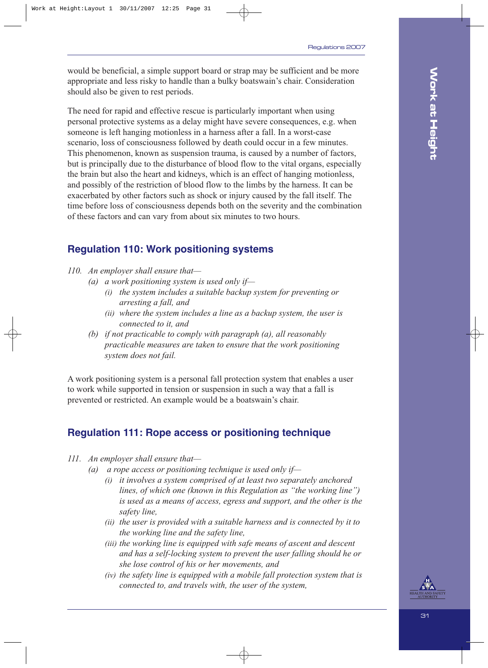would be beneficial, a simple support board or strap may be sufficient and be more appropriate and less risky to handle than a bulky boatswain's chair. Consideration should also be given to rest periods.

The need for rapid and effective rescue is particularly important when using personal protective systems as a delay might have severe consequences, e.g. when someone is left hanging motionless in a harness after a fall. In a worst-case scenario, loss of consciousness followed by death could occur in a few minutes. This phenomenon, known as suspension trauma, is caused by a number of factors, but is principally due to the disturbance of blood flow to the vital organs, especially the brain but also the heart and kidneys, which is an effect of hanging motionless, and possibly of the restriction of blood flow to the limbs by the harness. It can be exacerbated by other factors such as shock or injury caused by the fall itself. The time before loss of consciousness depends both on the severity and the combination of these factors and can vary from about six minutes to two hours.

## **Regulation 110: Work positioning systems**

#### *110. An employer shall ensure that—*

- *(a) a work positioning system is used only if—*
	- *(i) the system includes a suitable backup system for preventing or arresting a fall, and*
	- *(ii) where the system includes a line as a backup system, the user is connected to it, and*
- *(b) if not practicable to comply with paragraph (a), all reasonably practicable measures are taken to ensure that the work positioning system does not fail.*

A work positioning system is a personal fall protection system that enables a user to work while supported in tension or suspension in such a way that a fall is prevented or restricted. An example would be a boatswain's chair.

## **Regulation 111: Rope access or positioning technique**

- *111. An employer shall ensure that—*
	- *(a) a rope access or positioning technique is used only if—*
		- *(i) it involves a system comprised of at least two separately anchored lines, of which one (known in this Regulation as "the working line") is used as a means of access, egress and support, and the other is the safety line,*
		- *(ii) the user is provided with a suitable harness and is connected by it to the working line and the safety line,*
		- *(iii) the working line is equipped with safe means of ascent and descent and has a self-locking system to prevent the user falling should he or she lose control of his or her movements, and*
		- *(iv) the safety line is equipped with a mobile fall protection system that is connected to, and travels with, the user of the system,*

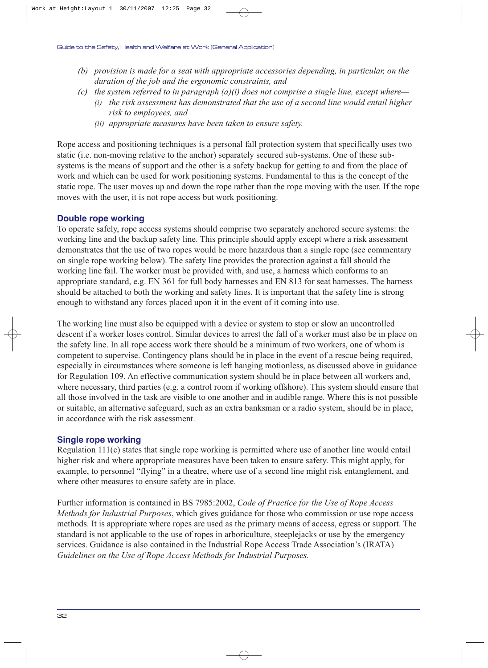- *(b) provision is made for a seat with appropriate accessories depending, in particular, on the duration of the job and the ergonomic constraints, and*
- *(c) the system referred to in paragraph (a)(i) does not comprise a single line, except where—*
	- *(i) the risk assessment has demonstrated that the use of a second line would entail higher risk to employees, and*
	- *(ii) appropriate measures have been taken to ensure safety.*

Rope access and positioning techniques is a personal fall protection system that specifically uses two static (i.e. non-moving relative to the anchor) separately secured sub-systems. One of these subsystems is the means of support and the other is a safety backup for getting to and from the place of work and which can be used for work positioning systems. Fundamental to this is the concept of the static rope. The user moves up and down the rope rather than the rope moving with the user. If the rope moves with the user, it is not rope access but work positioning.

#### **Double rope working**

To operate safely, rope access systems should comprise two separately anchored secure systems: the working line and the backup safety line. This principle should apply except where a risk assessment demonstrates that the use of two ropes would be more hazardous than a single rope (see commentary on single rope working below). The safety line provides the protection against a fall should the working line fail. The worker must be provided with, and use, a harness which conforms to an appropriate standard, e.g. EN 361 for full body harnesses and EN 813 for seat harnesses. The harness should be attached to both the working and safety lines. It is important that the safety line is strong enough to withstand any forces placed upon it in the event of it coming into use.

The working line must also be equipped with a device or system to stop or slow an uncontrolled descent if a worker loses control. Similar devices to arrest the fall of a worker must also be in place on the safety line. In all rope access work there should be a minimum of two workers, one of whom is competent to supervise. Contingency plans should be in place in the event of a rescue being required, especially in circumstances where someone is left hanging motionless, as discussed above in guidance for Regulation 109. An effective communication system should be in place between all workers and, where necessary, third parties (e.g. a control room if working offshore). This system should ensure that all those involved in the task are visible to one another and in audible range. Where this is not possible or suitable, an alternative safeguard, such as an extra banksman or a radio system, should be in place, in accordance with the risk assessment.

#### **Single rope working**

Regulation 111(c) states that single rope working is permitted where use of another line would entail higher risk and where appropriate measures have been taken to ensure safety. This might apply, for example, to personnel "flying" in a theatre, where use of a second line might risk entanglement, and where other measures to ensure safety are in place.

Further information is contained in BS 7985:2002, *Code of Practice for the Use of Rope Access Methods for Industrial Purposes*, which gives guidance for those who commission or use rope access methods. It is appropriate where ropes are used as the primary means of access, egress or support. The standard is not applicable to the use of ropes in arboriculture, steeplejacks or use by the emergency services. Guidance is also contained in the Industrial Rope Access Trade Association's (IRATA) *Guidelines on the Use of Rope Access Methods for Industrial Purposes.*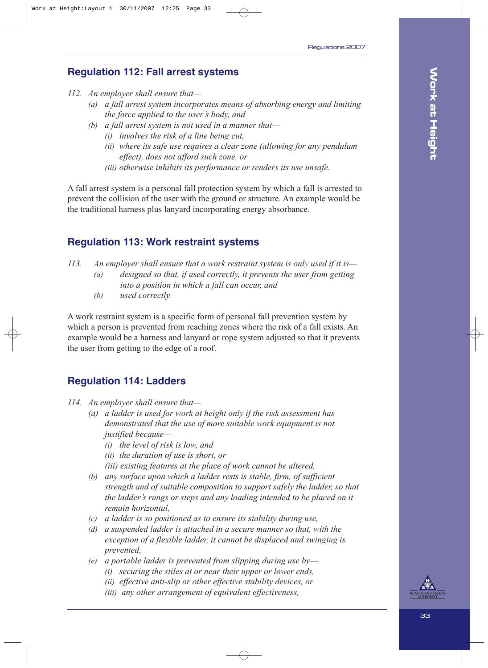## **Regulation 112: Fall arrest systems**

- *112. An employer shall ensure that—*
	- *(a) a fall arrest system incorporates means of absorbing energy and limiting the force applied to the user's body, and*
	- *(b) a fall arrest system is not used in a manner that—*
		- *(i) involves the risk of a line being cut,*
		- *(ii) where its safe use requires a clear zone (allowing for any pendulum effect), does not afford such zone, or*
		- *(iii) otherwise inhibits its performance or renders its use unsafe.*

A fall arrest system is a personal fall protection system by which a fall is arrested to prevent the collision of the user with the ground or structure. An example would be the traditional harness plus lanyard incorporating energy absorbance.

## **Regulation 113: Work restraint systems**

- *113. An employer shall ensure that a work restraint system is only used if it is— (a) designed so that, if used correctly, it prevents the user from getting into a position in which a fall can occur, and*
	- *(b) used correctly.*

A work restraint system is a specific form of personal fall prevention system by which a person is prevented from reaching zones where the risk of a fall exists. An example would be a harness and lanyard or rope system adjusted so that it prevents the user from getting to the edge of a roof.

## **Regulation 114: Ladders**

- *114. An employer shall ensure that—*
	- *(a) a ladder is used for work at height only if the risk assessment has demonstrated that the use of more suitable work equipment is not justified because—*
		- *(i) the level of risk is low, and*
		- *(ii) the duration of use is short, or*
		- *(iii) existing features at the place of work cannot be altered,*
	- *(b) any surface upon which a ladder rests is stable, firm, of sufficient strength and of suitable composition to support safely the ladder, so that the ladder's rungs or steps and any loading intended to be placed on it remain horizontal,*
	- *(c) a ladder is so positioned as to ensure its stability during use,*
	- *(d) a suspended ladder is attached in a secure manner so that, with the exception of a flexible ladder, it cannot be displaced and swinging is prevented,*
	- *(e) a portable ladder is prevented from slipping during use by—*
		- *(i) securing the stiles at or near their upper or lower ends,*
		- *(ii) effective anti-slip or other effective stability devices, or*
		- *(iii) any other arrangement of equivalent effectiveness,*

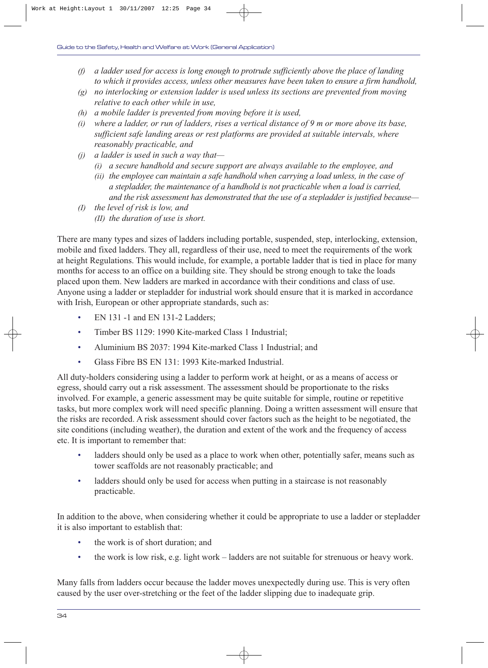- *(f) a ladder used for access is long enough to protrude sufficiently above the place of landing to which it provides access, unless other measures have been taken to ensure a firm handhold,*
- *(g) no interlocking or extension ladder is used unless its sections are prevented from moving relative to each other while in use,*
- *(h) a mobile ladder is prevented from moving before it is used,*
- *(i) where a ladder, or run of ladders, rises a vertical distance of 9 m or more above its base, sufficient safe landing areas or rest platforms are provided at suitable intervals, where reasonably practicable, and*
- *(j) a ladder is used in such a way that—*
	- *(i) a secure handhold and secure support are always available to the employee, and*
	- *(ii) the employee can maintain a safe handhold when carrying a load unless, in the case of a stepladder, the maintenance of a handhold is not practicable when a load is carried, and the risk assessment has demonstrated that the use of a stepladder is justified because—*
- *(I) the level of risk is low, and (II) the duration of use is short.*

There are many types and sizes of ladders including portable, suspended, step, interlocking, extension, mobile and fixed ladders. They all, regardless of their use, need to meet the requirements of the work at height Regulations. This would include, for example, a portable ladder that is tied in place for many months for access to an office on a building site. They should be strong enough to take the loads placed upon them. New ladders are marked in accordance with their conditions and class of use. Anyone using a ladder or stepladder for industrial work should ensure that it is marked in accordance with Irish, European or other appropriate standards, such as:

- EN 131 -1 and EN 131-2 Ladders;
- Timber BS 1129: 1990 Kite-marked Class 1 Industrial;
- Aluminium BS 2037: 1994 Kite-marked Class 1 Industrial; and
- Glass Fibre BS EN 131: 1993 Kite-marked Industrial.

All duty-holders considering using a ladder to perform work at height, or as a means of access or egress, should carry out a risk assessment. The assessment should be proportionate to the risks involved. For example, a generic assessment may be quite suitable for simple, routine or repetitive tasks, but more complex work will need specific planning. Doing a written assessment will ensure that the risks are recorded. A risk assessment should cover factors such as the height to be negotiated, the site conditions (including weather), the duration and extent of the work and the frequency of access etc. It is important to remember that:

- ladders should only be used as a place to work when other, potentially safer, means such as tower scaffolds are not reasonably practicable; and
- ladders should only be used for access when putting in a staircase is not reasonably practicable.

In addition to the above, when considering whether it could be appropriate to use a ladder or stepladder it is also important to establish that:

- the work is of short duration; and
- the work is low risk, e.g. light work ladders are not suitable for strenuous or heavy work.

Many falls from ladders occur because the ladder moves unexpectedly during use. This is very often caused by the user over-stretching or the feet of the ladder slipping due to inadequate grip.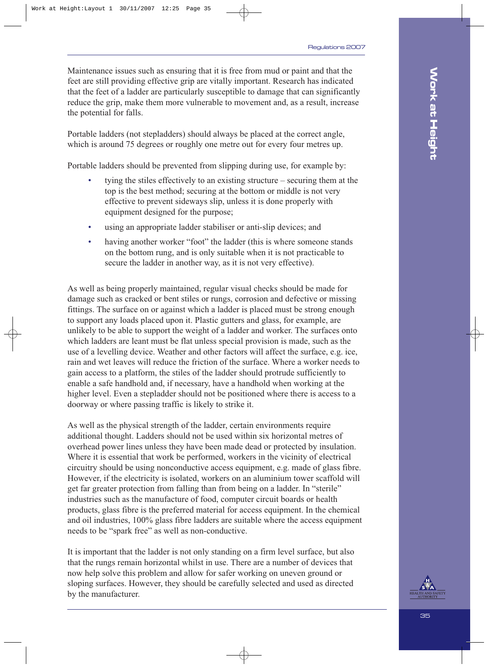Maintenance issues such as ensuring that it is free from mud or paint and that the feet are still providing effective grip are vitally important. Research has indicated that the feet of a ladder are particularly susceptible to damage that can significantly reduce the grip, make them more vulnerable to movement and, as a result, increase the potential for falls.

Portable ladders (not stepladders) should always be placed at the correct angle, which is around 75 degrees or roughly one metre out for every four metres up.

Portable ladders should be prevented from slipping during use, for example by:

- tying the stiles effectively to an existing structure securing them at the top is the best method; securing at the bottom or middle is not very effective to prevent sideways slip, unless it is done properly with equipment designed for the purpose;
- using an appropriate ladder stabiliser or anti-slip devices; and
- having another worker "foot" the ladder (this is where someone stands on the bottom rung, and is only suitable when it is not practicable to secure the ladder in another way, as it is not very effective).

As well as being properly maintained, regular visual checks should be made for damage such as cracked or bent stiles or rungs, corrosion and defective or missing fittings. The surface on or against which a ladder is placed must be strong enough to support any loads placed upon it. Plastic gutters and glass, for example, are unlikely to be able to support the weight of a ladder and worker. The surfaces onto which ladders are leant must be flat unless special provision is made, such as the use of a levelling device. Weather and other factors will affect the surface, e.g. ice, rain and wet leaves will reduce the friction of the surface. Where a worker needs to gain access to a platform, the stiles of the ladder should protrude sufficiently to enable a safe handhold and, if necessary, have a handhold when working at the higher level. Even a stepladder should not be positioned where there is access to a doorway or where passing traffic is likely to strike it.

As well as the physical strength of the ladder, certain environments require additional thought. Ladders should not be used within six horizontal metres of overhead power lines unless they have been made dead or protected by insulation. Where it is essential that work be performed, workers in the vicinity of electrical circuitry should be using nonconductive access equipment, e.g. made of glass fibre. However, if the electricity is isolated, workers on an aluminium tower scaffold will get far greater protection from falling than from being on a ladder. In "sterile" industries such as the manufacture of food, computer circuit boards or health products, glass fibre is the preferred material for access equipment. In the chemical and oil industries, 100% glass fibre ladders are suitable where the access equipment needs to be "spark free" as well as non-conductive.

It is important that the ladder is not only standing on a firm level surface, but also that the rungs remain horizontal whilst in use. There are a number of devices that now help solve this problem and allow for safer working on uneven ground or sloping surfaces. However, they should be carefully selected and used as directed by the manufacturer.

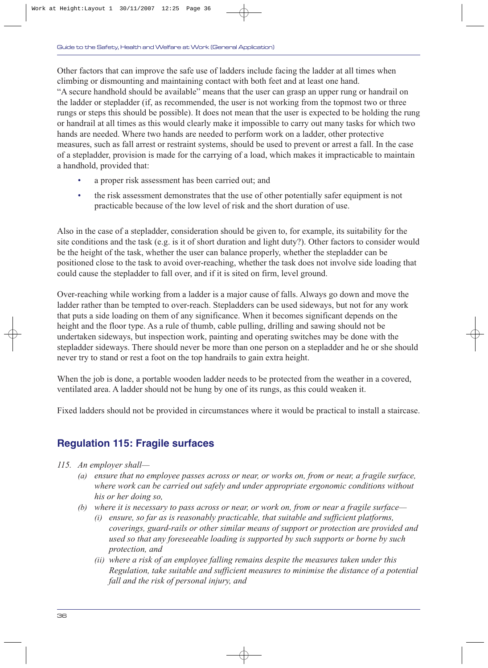Other factors that can improve the safe use of ladders include facing the ladder at all times when climbing or dismounting and maintaining contact with both feet and at least one hand. "A secure handhold should be available" means that the user can grasp an upper rung or handrail on the ladder or stepladder (if, as recommended, the user is not working from the topmost two or three rungs or steps this should be possible). It does not mean that the user is expected to be holding the rung or handrail at all times as this would clearly make it impossible to carry out many tasks for which two hands are needed. Where two hands are needed to perform work on a ladder, other protective measures, such as fall arrest or restraint systems, should be used to prevent or arrest a fall. In the case of a stepladder, provision is made for the carrying of a load, which makes it impracticable to maintain a handhold, provided that:

- a proper risk assessment has been carried out; and
- the risk assessment demonstrates that the use of other potentially safer equipment is not practicable because of the low level of risk and the short duration of use.

Also in the case of a stepladder, consideration should be given to, for example, its suitability for the site conditions and the task (e.g. is it of short duration and light duty?). Other factors to consider would be the height of the task, whether the user can balance properly, whether the stepladder can be positioned close to the task to avoid over-reaching, whether the task does not involve side loading that could cause the stepladder to fall over, and if it is sited on firm, level ground.

Over-reaching while working from a ladder is a major cause of falls. Always go down and move the ladder rather than be tempted to over-reach. Stepladders can be used sideways, but not for any work that puts a side loading on them of any significance. When it becomes significant depends on the height and the floor type. As a rule of thumb, cable pulling, drilling and sawing should not be undertaken sideways, but inspection work, painting and operating switches may be done with the stepladder sideways. There should never be more than one person on a stepladder and he or she should never try to stand or rest a foot on the top handrails to gain extra height.

When the job is done, a portable wooden ladder needs to be protected from the weather in a covered, ventilated area. A ladder should not be hung by one of its rungs, as this could weaken it.

Fixed ladders should not be provided in circumstances where it would be practical to install a staircase.

## **Regulation 115: Fragile surfaces**

- *115. An employer shall—*
	- *(a) ensure that no employee passes across or near, or works on, from or near, a fragile surface, where work can be carried out safely and under appropriate ergonomic conditions without his or her doing so,*
	- *(b) where it is necessary to pass across or near, or work on, from or near a fragile surface—*
		- *(i) ensure, so far as is reasonably practicable, that suitable and sufficient platforms, coverings, guard-rails or other similar means of support or protection are provided and used so that any foreseeable loading is supported by such supports or borne by such protection, and*
		- *(ii) where a risk of an employee falling remains despite the measures taken under this Regulation, take suitable and sufficient measures to minimise the distance of a potential fall and the risk of personal injury, and*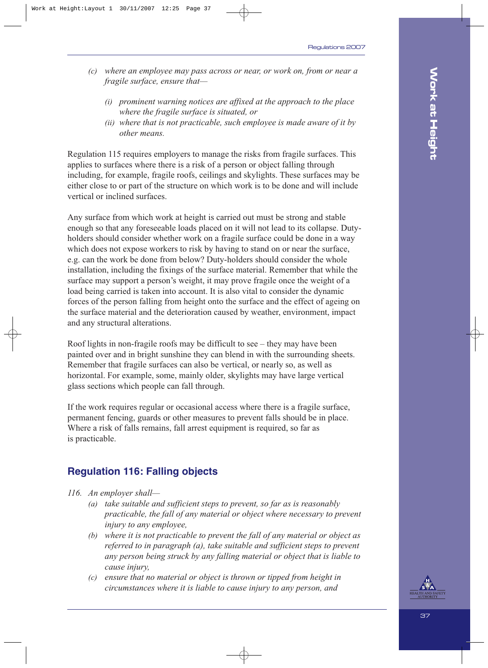- *(c) where an employee may pass across or near, or work on, from or near a fragile surface, ensure that—*
	- *(i) prominent warning notices are affixed at the approach to the place where the fragile surface is situated, or*
	- *(ii) where that is not practicable, such employee is made aware of it by other means.*

Regulation 115 requires employers to manage the risks from fragile surfaces. This applies to surfaces where there is a risk of a person or object falling through including, for example, fragile roofs, ceilings and skylights. These surfaces may be either close to or part of the structure on which work is to be done and will include vertical or inclined surfaces.

Any surface from which work at height is carried out must be strong and stable enough so that any foreseeable loads placed on it will not lead to its collapse. Dutyholders should consider whether work on a fragile surface could be done in a way which does not expose workers to risk by having to stand on or near the surface, e.g. can the work be done from below? Duty-holders should consider the whole installation, including the fixings of the surface material. Remember that while the surface may support a person's weight, it may prove fragile once the weight of a load being carried is taken into account. It is also vital to consider the dynamic forces of the person falling from height onto the surface and the effect of ageing on the surface material and the deterioration caused by weather, environment, impact and any structural alterations.

Roof lights in non-fragile roofs may be difficult to see – they may have been painted over and in bright sunshine they can blend in with the surrounding sheets. Remember that fragile surfaces can also be vertical, or nearly so, as well as horizontal. For example, some, mainly older, skylights may have large vertical glass sections which people can fall through.

If the work requires regular or occasional access where there is a fragile surface, permanent fencing, guards or other measures to prevent falls should be in place. Where a risk of falls remains, fall arrest equipment is required, so far as is practicable.

### **Regulation 116: Falling objects**

- *116. An employer shall—*
	- *(a) take suitable and sufficient steps to prevent, so far as is reasonably practicable, the fall of any material or object where necessary to prevent injury to any employee,*
	- *(b) where it is not practicable to prevent the fall of any material or object as referred to in paragraph (a), take suitable and sufficient steps to prevent any person being struck by any falling material or object that is liable to cause injury,*
	- *(c) ensure that no material or object is thrown or tipped from height in circumstances where it is liable to cause injury to any person, and*

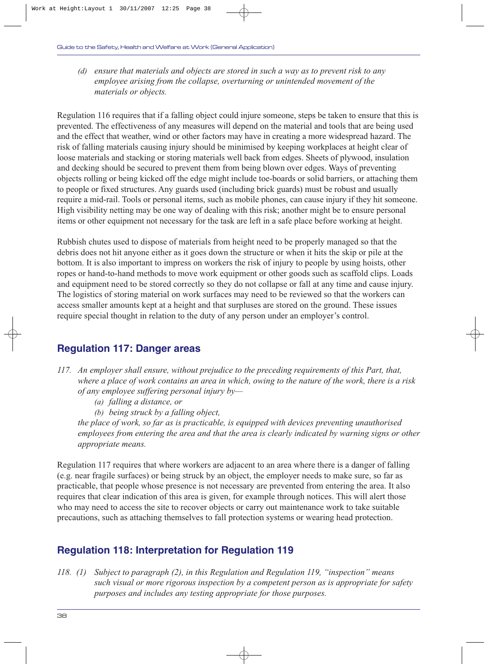*(d) ensure that materials and objects are stored in such a way as to prevent risk to any employee arising from the collapse, overturning or unintended movement of the materials or objects.*

Regulation 116 requires that if a falling object could injure someone, steps be taken to ensure that this is prevented. The effectiveness of any measures will depend on the material and tools that are being used and the effect that weather, wind or other factors may have in creating a more widespread hazard. The risk of falling materials causing injury should be minimised by keeping workplaces at height clear of loose materials and stacking or storing materials well back from edges. Sheets of plywood, insulation and decking should be secured to prevent them from being blown over edges. Ways of preventing objects rolling or being kicked off the edge might include toe-boards or solid barriers, or attaching them to people or fixed structures. Any guards used (including brick guards) must be robust and usually require a mid-rail. Tools or personal items, such as mobile phones, can cause injury if they hit someone. High visibility netting may be one way of dealing with this risk; another might be to ensure personal items or other equipment not necessary for the task are left in a safe place before working at height.

Rubbish chutes used to dispose of materials from height need to be properly managed so that the debris does not hit anyone either as it goes down the structure or when it hits the skip or pile at the bottom. It is also important to impress on workers the risk of injury to people by using hoists, other ropes or hand-to-hand methods to move work equipment or other goods such as scaffold clips. Loads and equipment need to be stored correctly so they do not collapse or fall at any time and cause injury. The logistics of storing material on work surfaces may need to be reviewed so that the workers can access smaller amounts kept at a height and that surpluses are stored on the ground. These issues require special thought in relation to the duty of any person under an employer's control.

## **Regulation 117: Danger areas**

- *117. An employer shall ensure, without prejudice to the preceding requirements of this Part, that, where a place of work contains an area in which, owing to the nature of the work, there is a risk of any employee suffering personal injury by—*
	- *(a) falling a distance, or*
	- *(b) being struck by a falling object,*

*the place of work, so far as is practicable, is equipped with devices preventing unauthorised employees from entering the area and that the area is clearly indicated by warning signs or other appropriate means.*

Regulation 117 requires that where workers are adjacent to an area where there is a danger of falling (e.g. near fragile surfaces) or being struck by an object, the employer needs to make sure, so far as practicable, that people whose presence is not necessary are prevented from entering the area. It also requires that clear indication of this area is given, for example through notices. This will alert those who may need to access the site to recover objects or carry out maintenance work to take suitable precautions, such as attaching themselves to fall protection systems or wearing head protection.

## **Regulation 118: Interpretation for Regulation 119**

*118. (1) Subject to paragraph (2), in this Regulation and Regulation 119, "inspection" means such visual or more rigorous inspection by a competent person as is appropriate for safety purposes and includes any testing appropriate for those purposes.*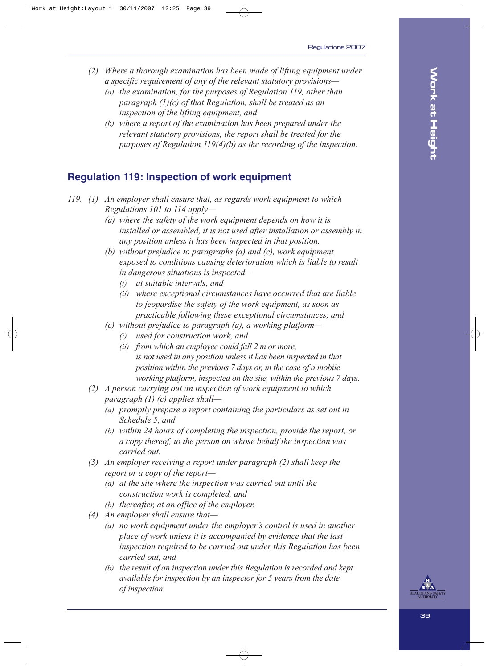- *(2) Where a thorough examination has been made of lifting equipment under a specific requirement of any of the relevant statutory provisions—*
	- *(a) the examination, for the purposes of Regulation 119, other than paragraph (1)(c) of that Regulation, shall be treated as an inspection of the lifting equipment, and*
	- *(b) where a report of the examination has been prepared under the relevant statutory provisions, the report shall be treated for the purposes of Regulation 119(4)(b) as the recording of the inspection.*

## **Regulation 119: Inspection of work equipment**

- *119. (1) An employer shall ensure that, as regards work equipment to which Regulations 101 to 114 apply—*
	- *(a) where the safety of the work equipment depends on how it is installed or assembled, it is not used after installation or assembly in any position unless it has been inspected in that position,*
	- *(b) without prejudice to paragraphs (a) and (c), work equipment exposed to conditions causing deterioration which is liable to result in dangerous situations is inspected—*
		- *(i) at suitable intervals, and*
		- *(ii) where exceptional circumstances have occurred that are liable to jeopardise the safety of the work equipment, as soon as practicable following these exceptional circumstances, and*
	- *(c) without prejudice to paragraph (a), a working platform—*
		- *(i) used for construction work, and*
		- *(ii) from which an employee could fall 2 m or more, is not used in any position unless it has been inspected in that position within the previous 7 days or, in the case of a mobile working platform, inspected on the site, within the previous 7 days.*
	- *(2) A person carrying out an inspection of work equipment to which paragraph (1) (c) applies shall—*
		- *(a) promptly prepare a report containing the particulars as set out in Schedule 5, and*
		- *(b) within 24 hours of completing the inspection, provide the report, or a copy thereof, to the person on whose behalf the inspection was carried out.*
	- *(3) An employer receiving a report under paragraph (2) shall keep the report or a copy of the report—*
		- *(a) at the site where the inspection was carried out until the construction work is completed, and*
		- *(b) thereafter, at an office of the employer.*
	- *(4) An employer shall ensure that—*
		- *(a) no work equipment under the employer's control is used in another place of work unless it is accompanied by evidence that the last inspection required to be carried out under this Regulation has been carried out, and*
		- *(b) the result of an inspection under this Regulation is recorded and kept available for inspection by an inspector for 5 years from the date of inspection.*

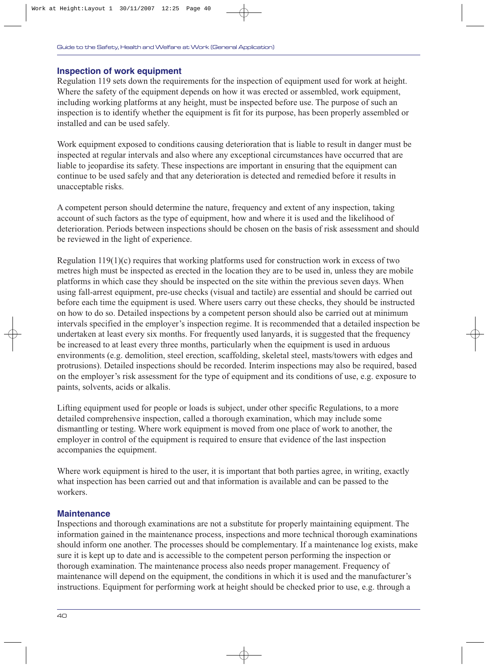#### **Inspection of work equipment**

Regulation 119 sets down the requirements for the inspection of equipment used for work at height. Where the safety of the equipment depends on how it was erected or assembled, work equipment, including working platforms at any height, must be inspected before use. The purpose of such an inspection is to identify whether the equipment is fit for its purpose, has been properly assembled or installed and can be used safely.

Work equipment exposed to conditions causing deterioration that is liable to result in danger must be inspected at regular intervals and also where any exceptional circumstances have occurred that are liable to jeopardise its safety. These inspections are important in ensuring that the equipment can continue to be used safely and that any deterioration is detected and remedied before it results in unacceptable risks.

A competent person should determine the nature, frequency and extent of any inspection, taking account of such factors as the type of equipment, how and where it is used and the likelihood of deterioration. Periods between inspections should be chosen on the basis of risk assessment and should be reviewed in the light of experience.

Regulation 119(1)(c) requires that working platforms used for construction work in excess of two metres high must be inspected as erected in the location they are to be used in, unless they are mobile platforms in which case they should be inspected on the site within the previous seven days. When using fall-arrest equipment, pre-use checks (visual and tactile) are essential and should be carried out before each time the equipment is used. Where users carry out these checks, they should be instructed on how to do so. Detailed inspections by a competent person should also be carried out at minimum intervals specified in the employer's inspection regime. It is recommended that a detailed inspection be undertaken at least every six months. For frequently used lanyards, it is suggested that the frequency be increased to at least every three months, particularly when the equipment is used in arduous environments (e.g. demolition, steel erection, scaffolding, skeletal steel, masts/towers with edges and protrusions). Detailed inspections should be recorded. Interim inspections may also be required, based on the employer's risk assessment for the type of equipment and its conditions of use, e.g. exposure to paints, solvents, acids or alkalis.

Lifting equipment used for people or loads is subject, under other specific Regulations, to a more detailed comprehensive inspection, called a thorough examination, which may include some dismantling or testing. Where work equipment is moved from one place of work to another, the employer in control of the equipment is required to ensure that evidence of the last inspection accompanies the equipment.

Where work equipment is hired to the user, it is important that both parties agree, in writing, exactly what inspection has been carried out and that information is available and can be passed to the workers.

#### **Maintenance**

Inspections and thorough examinations are not a substitute for properly maintaining equipment. The information gained in the maintenance process, inspections and more technical thorough examinations should inform one another. The processes should be complementary. If a maintenance log exists, make sure it is kept up to date and is accessible to the competent person performing the inspection or thorough examination. The maintenance process also needs proper management. Frequency of maintenance will depend on the equipment, the conditions in which it is used and the manufacturer's instructions. Equipment for performing work at height should be checked prior to use, e.g. through a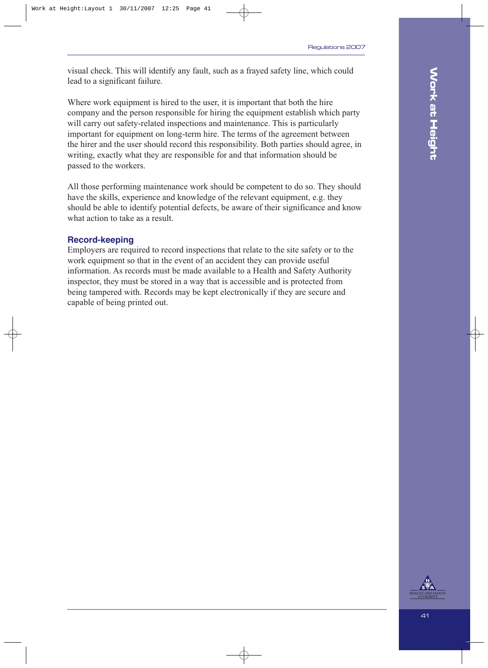visual check. This will identify any fault, such as a frayed safety line, which could lead to a significant failure.

Where work equipment is hired to the user, it is important that both the hire company and the person responsible for hiring the equipment establish which party will carry out safety-related inspections and maintenance. This is particularly important for equipment on long-term hire. The terms of the agreement between the hirer and the user should record this responsibility. Both parties should agree, in writing, exactly what they are responsible for and that information should be passed to the workers.

All those performing maintenance work should be competent to do so. They should have the skills, experience and knowledge of the relevant equipment, e.g. they should be able to identify potential defects, be aware of their significance and know what action to take as a result.

#### **Record-keeping**

Employers are required to record inspections that relate to the site safety or to the work equipment so that in the event of an accident they can provide useful information. As records must be made available to a Health and Safety Authority inspector, they must be stored in a way that is accessible and is protected from being tampered with. Records may be kept electronically if they are secure and capable of being printed out.

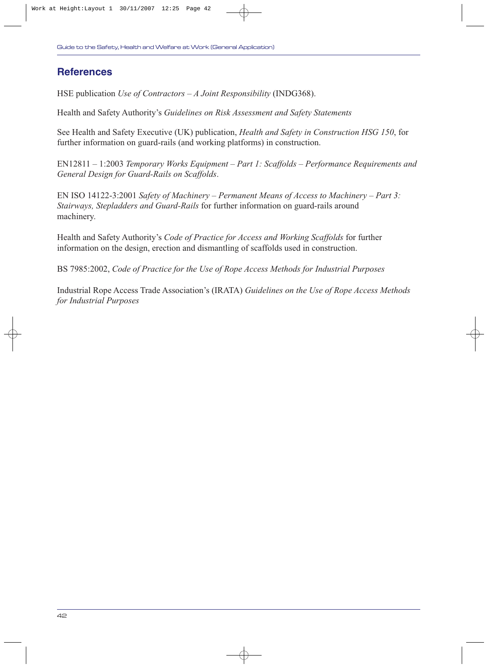## **References**

HSE publication *Use of Contractors – A Joint Responsibility* (INDG368).

Health and Safety Authority's *Guidelines on Risk Assessment and Safety Statements*

See Health and Safety Executive (UK) publication, *Health and Safety in Construction HSG 150*, for further information on guard-rails (and working platforms) in construction.

EN12811 – 1:2003 *Temporary Works Equipment – Part 1: Scaffolds – Performance Requirements and General Design for Guard-Rails on Scaffolds*.

EN ISO 14122-3:2001 *Safety of Machinery – Permanent Means of Access to Machinery – Part 3: Stairways, Stepladders and Guard-Rails* for further information on guard-rails around machinery.

Health and Safety Authority's *Code of Practice for Access and Working Scaffolds* for further information on the design, erection and dismantling of scaffolds used in construction.

BS 7985:2002, *Code of Practice for the Use of Rope Access Methods for Industrial Purposes*

Industrial Rope Access Trade Association's (IRATA) *Guidelines on the Use of Rope Access Methods for Industrial Purposes*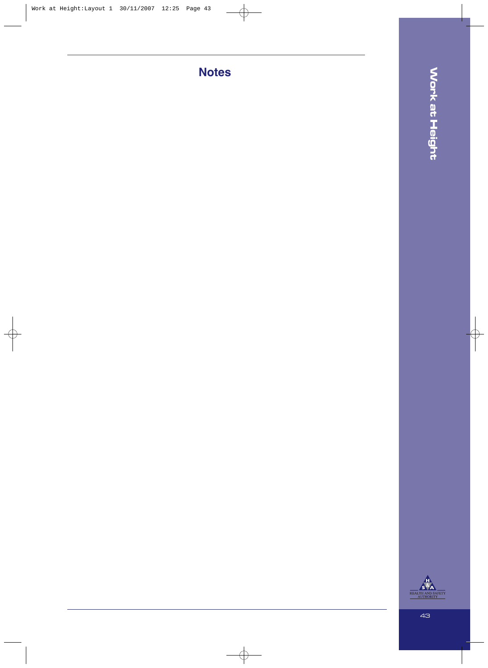**Notes**

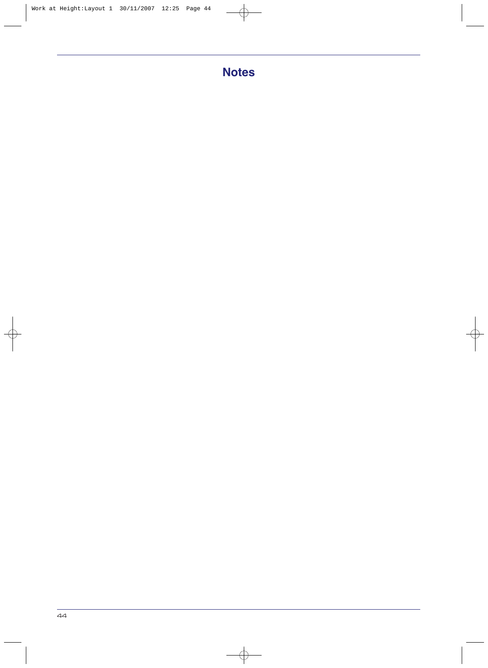# **Notes**